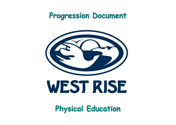# Progression Document



Physical Education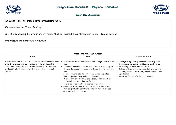

# West Rise Curriculum

# **At West Rise, we grow Sports Enthusiasts who…**

*Know how to stay fit and healthy* 

*Are able to* develop behaviour and attitudes that will benefit them throughout school life and beyond

*Understand the benefits of exercise* 

| West Rise Aims and Purpose                                                                                                                                                                                                                                                     |                                                                                                                                                                                                                                                                                                                                                                                                                                                                                                                                                                                                                                                  |                                                                                                                                           |  |  |
|--------------------------------------------------------------------------------------------------------------------------------------------------------------------------------------------------------------------------------------------------------------------------------|--------------------------------------------------------------------------------------------------------------------------------------------------------------------------------------------------------------------------------------------------------------------------------------------------------------------------------------------------------------------------------------------------------------------------------------------------------------------------------------------------------------------------------------------------------------------------------------------------------------------------------------------------|-------------------------------------------------------------------------------------------------------------------------------------------|--|--|
| <b>Intent</b>                                                                                                                                                                                                                                                                  | Aims                                                                                                                                                                                                                                                                                                                                                                                                                                                                                                                                                                                                                                             |                                                                                                                                           |  |  |
| Physical Education is a beautiful opportunity to develop the whole<br>child. Children are entitled to a rich, broad and balanced PE<br>curriculum. Through PE, children should develop behaviour and<br>attitudes that will benefit them throughout school life and<br>beyond. | Experience a broad range of activities through curriculum PE<br>time<br>Know how to stay fit, healthy, and active and enjoy doing so,<br>choosing to engage in physical activity and sport in their own<br>time<br>Learn to win and lose, support others and be supported,<br>showing sportsmanship and good character<br>Work as part of a team towards a common goal as well as<br>individually improving their performance<br>Be allowed to be creative in a range of activities<br>Play competitively, respecting officials and other players<br>Develop spiritually, morally and culturally through diverse<br>activities and opportunities | Strengthening th<br>Building and incre<br>Developing chara<br>Enhancing their c<br>Allowing opportur<br>spiritedness<br>Fostering feeling |  |  |



### **Character Traits**

 $S$ inking and decision-making skills easing confidence and self-esteem icter and resilience commitment and desire to improve inities for enjoyment, fun and free-

gs of safety and security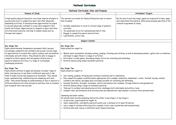## National Curriculum

|                                                                                                                                                                                                                                                                                                                                                                                                                                                                | National Curriculum Aims and Purpose                                                                                                                                                                                                                                                                                                                                                                                                                                                                                                                                                                                                                                                                                                                                                                                                                                                                                                                                                                                                                                                                                                              |                                                                                         |
|----------------------------------------------------------------------------------------------------------------------------------------------------------------------------------------------------------------------------------------------------------------------------------------------------------------------------------------------------------------------------------------------------------------------------------------------------------------|---------------------------------------------------------------------------------------------------------------------------------------------------------------------------------------------------------------------------------------------------------------------------------------------------------------------------------------------------------------------------------------------------------------------------------------------------------------------------------------------------------------------------------------------------------------------------------------------------------------------------------------------------------------------------------------------------------------------------------------------------------------------------------------------------------------------------------------------------------------------------------------------------------------------------------------------------------------------------------------------------------------------------------------------------------------------------------------------------------------------------------------------------|-----------------------------------------------------------------------------------------|
| Purpose of Study                                                                                                                                                                                                                                                                                                                                                                                                                                               | Aims                                                                                                                                                                                                                                                                                                                                                                                                                                                                                                                                                                                                                                                                                                                                                                                                                                                                                                                                                                                                                                                                                                                                              | Attai                                                                                   |
| A high-quality physical education curriculum inspires all pupils to<br>succeed and excel in competitive sport and other physically-<br>demanding activities. It should provide opportunities for pupils<br>to become physically confident in a way which supports their<br>health and fitness. Opportunities to compete in sport and other<br>activities build character and help to embed values such as<br>fairness and respect.                             | The national curriculum for Physical Education aims to ensure<br>that all pupils:<br>Develop competence to excel in a broad range of physical<br>activities<br>Are physically active for sustained periods of time<br>Engage in competitive sports and activities<br>Lead healthy, active lives.<br>➤                                                                                                                                                                                                                                                                                                                                                                                                                                                                                                                                                                                                                                                                                                                                                                                                                                             | By the end of each key stag<br>and understand the matters<br>relevant programme of stud |
|                                                                                                                                                                                                                                                                                                                                                                                                                                                                | Subject Content                                                                                                                                                                                                                                                                                                                                                                                                                                                                                                                                                                                                                                                                                                                                                                                                                                                                                                                                                                                                                                                                                                                                   |                                                                                         |
| Key Stage One<br>Pupils should develop fundamental movement skills, become<br>increasingly competent and confident and access a broad range<br>of opportunities to extend their agility, balance and coordination,<br>individually and with others. They should be able to engage in<br>competitive (both against self and against others) and co-<br>operative physical activities, in a range of increasingly<br>challenging situations.                     | Key Stage One<br>Pupils should be taught to:<br>Master basic movements including running, jumping, throwing and catching, as well as develop<br>$\bullet$<br>and begin to apply these in a range of activities<br>Participate in team games, developing simple tactics for attacking and defending<br>Perform dances using simple movement patterns.                                                                                                                                                                                                                                                                                                                                                                                                                                                                                                                                                                                                                                                                                                                                                                                              |                                                                                         |
| Key Stage Two<br>Pupils should continue to apply and develop a broader range of<br>skills, learning how to use them in different ways and to link<br>them to make actions and sequences of movement. They should<br>enjoy communicating, collaborating and competing with each<br>other. They should develop an understanding of how to improve in<br>different physical activities and sports and learn how to evaluate  <br>and recognise their own success. | Key Stage Two<br>Pupils should be taught to:<br>Use running, jumping, throwing and catching in isolation and in combination<br>Play competitive games, modified where appropriate [for example, badminton, basketball, cri<br>rounders and tennis], and apply basic principles suitable for attacking and defending<br>Develop flexibility, strength, technique, control and balance [for example, through athletics<br>Perform dances using a range of movement patterns<br>Take part in outdoor and adventurous activity challenges both individually and within a team<br>$\bullet$<br>Compare their performances with previous ones and demonstrate improvement to achieve th<br>$\bullet$<br>Swimming and water safety<br>All schools must provide swimming instruction either in key stage 1 or key stage 2.<br>In particular, pupils should be taught to:<br>$\bullet$<br>Swim competently, confidently and proficiently over a distance of at least 25 metres<br>Use a range of strokes effectively [for example, front crawl, backstroke and breaststroke]<br>Perform safe self-rescue in different water-based situations.<br>$\bullet$ |                                                                                         |

### **Attainment Targets**

key stage, pupils are expected to know, apply matters, skills and processes specified in the relefatudy.

 $\alpha$  developing balance, agility and co-ordination,

tball, cricket, football, hockey, netball, badminton, <mark>example, th</mark>

 $\tilde{\text{at}}$ hletics and gymnastics]

chieve their personal best.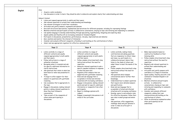|                                                                                                                                                                                                                                                                                                                                                                                                                                                                                                                                                                                                                                                                                                                                                                                                     | <b>Curriculum Links</b>                                                                                                                                                                                                                                                                                                                                                                                                                                                                                                                                                                                                                                                                                                                                                                              |                                                                                                                                                                                                                                                                                                                                                                                                                                                                                                                                                                                                                                                                                                                                                                                                                                                                                                                                                                                                     |                                                                                                                                                                                                                                                                                                                                                                                                                                                                                                                                                                                                                                                                                                                                                                                                                                                                     |
|-----------------------------------------------------------------------------------------------------------------------------------------------------------------------------------------------------------------------------------------------------------------------------------------------------------------------------------------------------------------------------------------------------------------------------------------------------------------------------------------------------------------------------------------------------------------------------------------------------------------------------------------------------------------------------------------------------------------------------------------------------------------------------------------------------|------------------------------------------------------------------------------------------------------------------------------------------------------------------------------------------------------------------------------------------------------------------------------------------------------------------------------------------------------------------------------------------------------------------------------------------------------------------------------------------------------------------------------------------------------------------------------------------------------------------------------------------------------------------------------------------------------------------------------------------------------------------------------------------------------|-----------------------------------------------------------------------------------------------------------------------------------------------------------------------------------------------------------------------------------------------------------------------------------------------------------------------------------------------------------------------------------------------------------------------------------------------------------------------------------------------------------------------------------------------------------------------------------------------------------------------------------------------------------------------------------------------------------------------------------------------------------------------------------------------------------------------------------------------------------------------------------------------------------------------------------------------------------------------------------------------------|---------------------------------------------------------------------------------------------------------------------------------------------------------------------------------------------------------------------------------------------------------------------------------------------------------------------------------------------------------------------------------------------------------------------------------------------------------------------------------------------------------------------------------------------------------------------------------------------------------------------------------------------------------------------------------------------------------------------------------------------------------------------------------------------------------------------------------------------------------------------|
| Aims<br>Acquire a wide vocabulary<br>Subject Content<br>Listen and respond appropriately to adults and their peers<br>Ask relevant questions to extend their understanding and knowledge<br>Use relevant strategies to build their vocabulary<br>Articulate and justify answers, arguments and opinions<br>Speak audibly and fluently with an increasing command of Standard English<br>Gain, maintain and monitor the interest of listener(s)<br>Select and use appropriate registers for effective communication                                                                                                                                                                                                                                                                                  | Use discussion in order to learn; they should be able to elaborate and explain clearly their understanding and ideas<br>Give well-structured descriptions, explanations and narratives for different purposes, including for expressing feelings<br>Maintain attention and participate actively in collaborative conversation, staying on topic and initiating and responding to comments<br>Use spoken language to develop understanding through speculating, hypothesising. Imagining and exploring ideas<br>Participate in discussions, presentation, performances, role play, improvisations and debates<br>Consider and evaluate different viewpoints, attending to and building on the contributions of others                                                                                 |                                                                                                                                                                                                                                                                                                                                                                                                                                                                                                                                                                                                                                                                                                                                                                                                                                                                                                                                                                                                     |                                                                                                                                                                                                                                                                                                                                                                                                                                                                                                                                                                                                                                                                                                                                                                                                                                                                     |
| Year 3                                                                                                                                                                                                                                                                                                                                                                                                                                                                                                                                                                                                                                                                                                                                                                                              | Year 4                                                                                                                                                                                                                                                                                                                                                                                                                                                                                                                                                                                                                                                                                                                                                                                               | Year 5                                                                                                                                                                                                                                                                                                                                                                                                                                                                                                                                                                                                                                                                                                                                                                                                                                                                                                                                                                                              | Year 6                                                                                                                                                                                                                                                                                                                                                                                                                                                                                                                                                                                                                                                                                                                                                                                                                                                              |
| Listen carefully in a range of<br>$\bullet$<br>different contexts and usually<br>respond appropriately to both adults<br>and their peers.<br>Follow instructions in a range of<br>unfamiliar situations.<br>Recognise when it is needed and ask<br>$\bullet$<br>for specific additional information to<br>clarify instructions.<br>Ask questions that relate to what has<br>been heard or what was presented to<br>them.<br>To begin to offer support for their<br>answers to questions with justifiable<br>reasoning.<br>Use vocabulary that is appropriate to<br>the topic<br>Engage in discussions, making relevant<br>points or asking relevant questions to<br>show they have followed a<br>conversation.<br>Take account of the viewpoints of<br>others when participating in<br>discussions. | Listen carefully in a range of<br>different contexts and usually<br>respond appropriately to both adults<br>and their peers.<br>Follow complex directions/multi-step<br>instructions without the need for<br>repetition.<br>Generate relevant questions to ask a<br>specific speaker/audience in response<br>to what has been said.<br>Regularly offer answers that are<br>supported with justifiable reasoning.<br>Know and use language that is<br>acceptable in formal and informal<br>situations with increasing confidence.<br>Engage in discussions, making relevant<br>points and ask for specific additional<br>information or viewpoints from other<br>participants.<br>Begin to challenge opinions with<br>respect.<br>Engage in meaningful discussions in all<br>areas of the curriculum. | Listen carefully, making timely<br>contributions and asking questions<br>that are responsive to others' ideas<br>and views, e.g. participate in a<br>collaborative project where they<br>listen to the ideas of others and<br>adapt these to meet the needs of the<br>groups.<br>Follow complex directions/multi-step<br>$\bullet$<br>instructions without the need for<br>repetition.<br>Ask questions which deepen<br>$\bullet$<br>conversations and/or further their<br>knowledge.<br>Understand how to answer questions<br>$\bullet$<br>that require more detailed answers<br>and justification.<br>Know and use language that is<br>$\bullet$<br>acceptable in formal and informal<br>situations with increasing confidence<br>Develop, agree to and evaluate rules<br>for effective discussion; follow their<br>own rules in small groups and whole-<br>class<br>Ask questions, offer suggestions,<br>challenge ideas and give opinions in<br>order to take an active part in<br>discussions. | Make improvements based on<br>constructive feedback on their<br>listening skills.<br>Follow complex directions/multi-step<br>instructions without the need for<br>repetition.<br>Regularly ask relevant questions to<br>$\bullet$<br>extend their understanding and<br>knowledge.<br>Articulate and justify answers with<br>confidence in a range of situations<br>Speak audibly, fluently and with a full<br>command of Standard English in all<br>situations.<br>Maintain attention and participate<br>actively in collaborative<br>conversations, staying on topic and<br>initiating and responding to comments<br>with confidence.<br>Consider and evaluate different<br>viewpoints, adding their own<br>interpretations and building on the<br>contributions of others.<br>Offer an alternative explanation when<br>other participant(s) do not<br>understand. |

English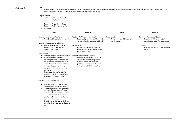| Mathematics | Aims |
|-------------|------|
|             |      |

- Number Number and Place Value
- 
- 
- 
- 
- Statistics

| Aims<br>➤                                                                                                                                                                                                                                                                                                                                                                                                                           | Become fluent in the fundamentals of mathematics, including through varied and frequent practice with increasingly complex problems over time, so that pupils develop conceptual<br>understanding and the ability to recall and apply knowledge rapidly and accurately. |                                                                                  |                                                                                                                                                                                                       |
|-------------------------------------------------------------------------------------------------------------------------------------------------------------------------------------------------------------------------------------------------------------------------------------------------------------------------------------------------------------------------------------------------------------------------------------|-------------------------------------------------------------------------------------------------------------------------------------------------------------------------------------------------------------------------------------------------------------------------|----------------------------------------------------------------------------------|-------------------------------------------------------------------------------------------------------------------------------------------------------------------------------------------------------|
| Subject Content<br>Number - Number and Place Value<br>Number - Multiplication and Division<br>Measurement<br>Geometry - Properties of Shape<br>Geometry - Position and Direction<br>Statistics                                                                                                                                                                                                                                      |                                                                                                                                                                                                                                                                         |                                                                                  |                                                                                                                                                                                                       |
| Year 3                                                                                                                                                                                                                                                                                                                                                                                                                              | Year 4                                                                                                                                                                                                                                                                  | Year 5                                                                           | Year 6                                                                                                                                                                                                |
| Number - Number and Place Value<br>Count from 0 in multiples of 4 and 8<br>$\bullet$<br>Number - Multiplication and Division<br>Recall and use multiplication and<br>$\bullet$<br>division facts for the 4 and 8<br>multiplication tables                                                                                                                                                                                           | Number - Multiplication and Division<br>Recall multiplication and division facts<br>for multiplication tables up to $12 \times 12$<br>Measurement<br>• Convert between different units of<br>measure [for example, kilometre to<br>metre; hour to minute]               | Measurement<br>Convert between different units of<br>$\bullet$<br>metric measure | Geometry - Position and Direction<br>• Describe positions on the full<br>coordinate grid (all four quadrants)<br><b>Statistics</b><br>Calculate and interpret the mean as an<br>$\bullet$<br>average. |
| Measurement<br>Measure, compare lengths (m/cm/mm)<br>$\bullet$<br>Estimate and read time with<br>increasing accuracy to the nearest<br>minute; record and compare time in<br>terms of seconds, minutes and hours;<br>use vocabulary such as o'clock,<br>a.m./p.m., morning, afternoon, noon<br>and midnight<br>Compare durations of events [for<br>example to calculate the time taken<br>by particular events or tasks].           | Geometry - Position and Direction<br>Describe positions on a 2-D grid as<br>coordinates in the first quadrant<br>Describe movements between<br>$\bullet$<br>positions as translations of a given<br>unit to the left/right and up/down                                  |                                                                                  |                                                                                                                                                                                                       |
| Geometry - Properties of Shape<br>Recognise angles as a property of<br>shape or a description of a turn<br>Identify right angles, recognise that<br>two right angles make a half-turn,<br>three make three quarters of a turn<br>and four a complete turn; identify<br>whether angles are greater than or<br>less than a right angle<br>Identify horizontal and vertical lines<br>and pairs of perpendicular and parallel<br>lines. |                                                                                                                                                                                                                                                                         |                                                                                  |                                                                                                                                                                                                       |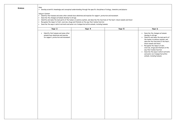### **Science** Aims

Develop scientific knowledge and conceptual understanding through the specific disciplines of biology, chemistry and physics

Subject Content

- Identify that humans and some other animals have skeletons and muscles for support, protection and movement.
- Describe the changes as humans develop to old age.
- Identify and name the main parts of the human circulatory system, and describe the functions of the heart, blood vessels and blood
- Recognise the impact of diet, exercise, drugs and lifestyle on the way their bodies function
- Describe the ways in which nutrients and water are transported within animals, including humans.

| Year 3                                                                                                               | Year 4 | Year 5 | Year 6                                                                                                                                                                                                                                                                                                                                                                                                                                                        |
|----------------------------------------------------------------------------------------------------------------------|--------|--------|---------------------------------------------------------------------------------------------------------------------------------------------------------------------------------------------------------------------------------------------------------------------------------------------------------------------------------------------------------------------------------------------------------------------------------------------------------------|
| • Identify that humans and some other<br>animals have skeletons and muscles<br>for support, protection and movement. |        |        | Describe the changes as humans<br>$\bullet$<br>develop to old age.<br>• Identify and name the main parts of<br>the human circulatory system, and<br>describe the functions of the heart,<br>blood vessels and blood<br>Recognise the impact of diet,<br>$\bullet$<br>exercise, drugs and lifestyle on the<br>way their bodies function<br>Describe the ways in which nutrients<br>$\bullet$<br>and water are transported within<br>animals, including humans. |
|                                                                                                                      |        |        |                                                                                                                                                                                                                                                                                                                                                                                                                                                               |
|                                                                                                                      |        |        |                                                                                                                                                                                                                                                                                                                                                                                                                                                               |
|                                                                                                                      |        |        |                                                                                                                                                                                                                                                                                                                                                                                                                                                               |
|                                                                                                                      |        |        |                                                                                                                                                                                                                                                                                                                                                                                                                                                               |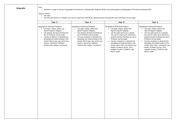### **Geography Aims**

Interpret a range of sources of geographical information, including maps, diagrams, globes, aerial photographs and Geographical Information Systems (GIS)

Subject Content

- Use maps
- Use the eight points of a compass, four and six-figure grid references, symbols and key (including the use of Ordnance Survey maps)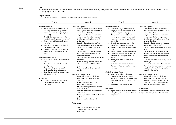> Understand and explore how music is created, produced and communicated, including through the inter-related dimensions: pitch, duration, dynamics, tempo, timbre, texture, structure and appropriate musical notations.

### Subject Content

Listen with attention to detail and recall sounds with increasing aural memory

| Year 3                                                                                                                                                                                                                                                                                                                                                                                                                                                                                                                                                                                                                                                                                                                                                                                                                                         | Year 4                                                                                                                                                                                                                                                                                                                                                                                                                                                                                                                                                                                                                                                                                                                                                                                                                                                                                                                                                                                                                                                                                                                                                                                                                                                                                                            | Year 5                                                                                                                                                                                                                                                                                                                                                                                                                                                                                                                                                                                                                                                                                                                                                                                                                                                                                                                                                                                                                              | Year 6                                                                                                                                                                                                                                                                                                                                                                                                                                                                                                                                                                                                                                                                                                                                                                                                                                                                                                                                                                                                                                                                                                                                                     |
|------------------------------------------------------------------------------------------------------------------------------------------------------------------------------------------------------------------------------------------------------------------------------------------------------------------------------------------------------------------------------------------------------------------------------------------------------------------------------------------------------------------------------------------------------------------------------------------------------------------------------------------------------------------------------------------------------------------------------------------------------------------------------------------------------------------------------------------------|-------------------------------------------------------------------------------------------------------------------------------------------------------------------------------------------------------------------------------------------------------------------------------------------------------------------------------------------------------------------------------------------------------------------------------------------------------------------------------------------------------------------------------------------------------------------------------------------------------------------------------------------------------------------------------------------------------------------------------------------------------------------------------------------------------------------------------------------------------------------------------------------------------------------------------------------------------------------------------------------------------------------------------------------------------------------------------------------------------------------------------------------------------------------------------------------------------------------------------------------------------------------------------------------------------------------|-------------------------------------------------------------------------------------------------------------------------------------------------------------------------------------------------------------------------------------------------------------------------------------------------------------------------------------------------------------------------------------------------------------------------------------------------------------------------------------------------------------------------------------------------------------------------------------------------------------------------------------------------------------------------------------------------------------------------------------------------------------------------------------------------------------------------------------------------------------------------------------------------------------------------------------------------------------------------------------------------------------------------------------|------------------------------------------------------------------------------------------------------------------------------------------------------------------------------------------------------------------------------------------------------------------------------------------------------------------------------------------------------------------------------------------------------------------------------------------------------------------------------------------------------------------------------------------------------------------------------------------------------------------------------------------------------------------------------------------------------------------------------------------------------------------------------------------------------------------------------------------------------------------------------------------------------------------------------------------------------------------------------------------------------------------------------------------------------------------------------------------------------------------------------------------------------------|
| Listen and Appraise<br>Any musical dimensions featured in<br>the song, and where they are used<br>(texture, dynamics, tempo, rhythm<br>and pitch)<br>Identify the main sections of the<br>$\bullet$<br>song (introduction, verse, chorus etc.)<br>To confidently identify and move to<br>the pulse.<br>To take it in turn to discuss how the<br>song makes them feel.<br>Listen carefully and respectfully to<br>other people's thoughts about the<br>music<br><b>Musical Activities: Games</b><br>Know how to find and demonstrate the<br>pulse.<br>Know the difference between pulse<br>and rhythm.<br>Know how pulse, rhythm and pitch<br>work together to create a song.<br>Know that every piece of music has a<br>pulse/steady beat.<br>Performance<br>It involves communicating feelings,<br>thoughts and ideas about the<br>song/music | Listen and Appraise<br>Some of the style indicators of that<br>song (musical characteristics that<br>give the song its style)<br>Any musical dimensions featured in<br>$\bullet$<br>the song and where they are used<br>(texture, dynamics, tempo, rhythm<br>and pitch)<br>Identify the main sections of the<br>song (introduction, verse, chorus etc.)<br>To confidently identify and move to<br>$\bullet$<br>the pulse.<br>To talk about the musical dimensions<br>e.g. if the song gets louder in the<br>chorus (dynamics).<br>Talk about the music and how it makes<br>them feel.<br>Listen carefully and respectfully to<br>$\bullet$<br>other people's thoughts about the<br>music.<br>When you talk try to use musical<br>words.<br><b>Musical Activities: Games</b><br>Know and be able to talk about:<br>How pulse, rhythm and pitch work<br>$\circ$<br>together<br>Pulse: Finding the pulse - the<br>$\circ$<br>heartbeat of the music<br>Rhythm: the long and short patterns<br>$\circ$<br>over the pulse<br>Know the difference between pulse<br>$\circ$<br>and rhythm<br>Pitch: High and low sounds that create<br>$\circ$<br>melodies<br>How to keep the internal pulse<br>$\circ$<br>Performance<br>It involves communicating feelings,<br>$\bullet$<br>thoughts and ideas about the<br>song/music | Listen and Appraise<br>Some of the style indicators of the<br>songs (musical characteristics that<br>give the songs their style)<br>Any musical dimensions featured in<br>the songs and where they are used<br>(texture, dynamics, tempo, rhythm<br>and pitch)<br>Identify the main sections of the<br>songs (intro, verse, chorus etc.)<br>To identify and move to the pulse with<br>ease.<br>To think about the message of songs.<br>Listen carefully and respectfully to<br>other people's thoughts about the<br>music.<br>When you talk try to use musical<br>words.<br>To talk about the musical dimensions<br>Talk about the music and how it makes<br>you feel.<br><b>Musical Activities: Games</b><br>Know and be able to talk about:<br>How pulse, rhythm, pitch, tempo,<br>dynamics, texture and structure work<br>together and how they connect in a<br>song<br>How to keep the internal pulse<br>$\circ$<br>Performance<br>A performance involves communicating<br>ideas, thoughts and feelings about the<br>song/music | Listen and Appraise<br>The style indicators of the songs<br>(musical characteristics that give the<br>songs their style)<br>Any musical dimensions featured in<br>$\bullet$<br>the songs and where they are used<br>(texture, dynamics, tempo, rhythm,<br>pitch and timbre)<br>Identify the structure of the songs<br>$\bullet$<br>(intro, verse, chorus etc.)<br>To identify and move to the pulse with<br>ease.<br>To think about the message of songs.<br>Listen carefully and respectfully to<br>$\bullet$<br>other people's thoughts about the<br>music.<br>Use musical words when talking about<br>$\bullet$<br>the songs.<br>To talk about the musical dimensions.<br>Talk about the music and how it makes<br>$\bullet$<br>you feel, using musical language to<br>describe the music.<br><b>Musical Activities: Games</b><br>Know and be able to talk about:<br>How pulse, rhythm, pitch, tempo,<br>$\circ$<br>dynamics, texture and structure work<br>together to create a song or music<br>How to keep the internal pulse<br>$\circ$<br>Performance<br>A performance involves communicating ideas,<br>thoughts and feelings about the song/music |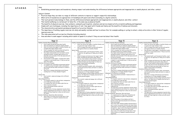### **S.P.H.E.R.E.** Aims

> Establishing personal space and boundaries, showing respect and understanding the differences between appropriate and inappropriate or unsafe physical, and other, contact.

### Subject Content

- Practical steps they can take in a range of different contexts to improve or support respectful relationships.
- What sorts of boundaries are appropriate in friendships with peers and others (including in a digital context).
- That each person's body belongs to them, and the differences between appropriate and inappropriate or unsafe physical, and other, contact.
- That mental wellbeing is a normal part of daily life, in the same way as physical health.
- The benefits of physical exercise, time outdoors, community participation, voluntary and service-based activity on mental wellbeing and happiness.
- Simple self-care techniques, including the importance of rest, time spent with friends and family and the benefits of hobbies and interests. The characteristics and mental and physical benefits of an active lifestyle.
- The importance of building regular exercise into daily and weekly routines and how to achieve this; for example walking or cycling to school, a daily active mile or other forms of regular, vigorous exercise.
- The risks associated with an inactive lifestyle (including obesity).
- How and when to seek support including which adults to speak to in school if they are worried about their health.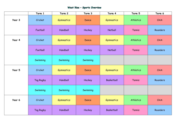# West Rise - Sports Overview

|        | Term 1    | Term 2     | Term 3   | Term 4     | Term 5    | Term 6     |
|--------|-----------|------------|----------|------------|-----------|------------|
| Year 3 | Cricket   | Gymnastics | Dance    | Gymnastics | Athletics | <b>OAA</b> |
|        | Football  | Handball   | Hockey   | Netball    | Tennis    | Rounders   |
| Year 4 | Cricket   | Gymnastics | Dance    | Gymnastics | Athletics | <b>OAA</b> |
|        | Football  | Handball   | Hockey   | Netball    | Tennis    | Rounders   |
|        | Swimming  | Swimming   | Swimming |            |           |            |
| Year 5 | Cricket   | Gymnastics | Dance    | Gymnastics | Athletics | <b>OAA</b> |
|        | Tag Rugby | Handball   | Hockey   | Basketball | Tennis    | Rounders   |
|        | Swimming  | Swimming   | Swimming |            |           |            |
| Year 6 | Cricket   | Gymnastics | Dance    | Gymnastics | Athletics | <b>OAA</b> |
|        | Tag Rugby | Handball   | Hockey   | Basketball | Tennis    | Rounders   |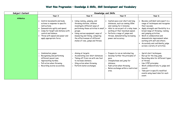# West Rise Progression - Knowledge & Skills, Skill Development and Vocabulary

| Subject Content  | Knowledge and Skills                                                                                                                                                                                                                                     |                                                                                                                                                                                                                                                                                                           |                                                                                                                                                                                                                                                                        |                                                                                                                                                                                                                                                                                                                                                                                 |  |
|------------------|----------------------------------------------------------------------------------------------------------------------------------------------------------------------------------------------------------------------------------------------------------|-----------------------------------------------------------------------------------------------------------------------------------------------------------------------------------------------------------------------------------------------------------------------------------------------------------|------------------------------------------------------------------------------------------------------------------------------------------------------------------------------------------------------------------------------------------------------------------------|---------------------------------------------------------------------------------------------------------------------------------------------------------------------------------------------------------------------------------------------------------------------------------------------------------------------------------------------------------------------------------|--|
|                  | Year 3                                                                                                                                                                                                                                                   | Year 4                                                                                                                                                                                                                                                                                                    | Year 5                                                                                                                                                                                                                                                                 | Year 6                                                                                                                                                                                                                                                                                                                                                                          |  |
| <b>Athletics</b> | Control movements and body<br>$\bullet$<br>actions in response to specific<br>instructions.<br>Demonstrate agility and speed.<br>Jump for height and distance with<br>control and balance.<br>Throw with speed and power and<br>apply appropriate force. | Using running, jumping, and<br>$\bullet$<br>throwing stations, children<br>investigate different ways of<br>performing these activities in small<br>groups.<br>Using various equipment, ways of<br>measuring and timing, comparing<br>the effectiveness of different<br>styles of runs, jumps and throws. | Sustain pace over short and long<br>distances, such as running 100m<br>and running for 2 minutes.<br>Able to run as part of a relay team<br>working at their maximum speed.<br>Perform a range of jumps and<br>throws, demonstrating increasing<br>power and accuracy. | Become confident and expert in a<br>range of techniques and recognise<br>their success.<br>Apply strength and flexibility to a<br>broad range of throwing, running<br>and jumping activities.<br>Work in collaboration and<br>$\bullet$<br>demonstrate improvement when<br>working with self and others.<br>Accurately and confidently judge<br>across a variety of activities. |  |
|                  | Combination jumps.<br>$\circ$<br>Recognising and performing<br>$\circ$<br>different paced runs.<br>Approaching hurdles.<br>$\circ$<br>Pull action when throwing.<br>$\circ$<br>Recording scores accurately.<br>$\circ$                                   | Aiming at targets.<br>$\circ$<br>Accelerating over short distances.<br>$\circ$<br>Taking off from run with one foot<br>$\circ$<br>to increase distance.<br>Sling action when throwing.<br>$\circ$<br>o Perform baton exchanges.                                                                           | Prepare to run an individual leg.<br>$\circ$<br>Develop further the principles of<br>pace.<br>Steeplechase and jump for<br>$\circ$<br>distance.<br>Push action when throwing.<br>$\circ$<br>Baton exchange within a restricted<br>$\circ$<br>area.                     | Sprint start techniques.<br>Run up for the long jump.<br>$\circ$<br>o Recording data for different types<br>of throws.<br>Use STEP principles.<br>$\circ$<br>Work collaboratively to judge and<br>record.<br>Take part in specific modified<br>$\circ$<br>events using laws/rules for each<br>event.                                                                            |  |

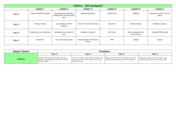| Athletics - Skill Development |                                 |                                                                     |                                        |               |                                            |                                        |
|-------------------------------|---------------------------------|---------------------------------------------------------------------|----------------------------------------|---------------|--------------------------------------------|----------------------------------------|
|                               | Lesson 1                        | Lesson 2                                                            | Lesson 3                               | Lesson 4      | Lesson 5                                   | Lesson 6                               |
| Year 3                        | Take off combination jumps      | Recognising the difference<br>between fast, slow and medium<br>pace | Approaching hurdles                    | Javelin throw | Skipping                                   | Working as a group to record<br>points |
| Year 4                        | Aiming at targets               | Accelerating over short<br>distances                                | Take off 1 foot when running           | Sling throw   | Baton exchange                             | Working to improve                     |
| Year 5                        | Preparing to run individual leg | Developing the principles of<br>pace                                | Jumping for distance                   | Push throw    | Baton exchange within a<br>restricted area | Teaching STEP principle                |
| Year 6                        | Sprint start                    | Run up for the long jump                                            | Recording data for different<br>throws | <b>STEP</b>   | Judging                                    | Judging                                |

| Subject Content  | Vocabulary                                                                                                                               |                                                                                                                                              |                                                                                                                      |                                                                                                             |  |
|------------------|------------------------------------------------------------------------------------------------------------------------------------------|----------------------------------------------------------------------------------------------------------------------------------------------|----------------------------------------------------------------------------------------------------------------------|-------------------------------------------------------------------------------------------------------------|--|
|                  | Year 3                                                                                                                                   | Year 4                                                                                                                                       | Year 5                                                                                                               | Year 6                                                                                                      |  |
| <b>Athletics</b> | Run, jump, throw, agility, power, speed, track, force,<br>distance, curve, accelerate, hurdles, pull, record, pace,<br>approach, combine | Track, force, distance, curve, accelerate, hurdles, foam,<br>javelin, vortex, howler, bounce, target, take off, sling,<br>exchange, accuracy | Bounce, relay, baton, safety, rules, targets, record, set,<br>take over, pass, sustain, push, receive, hop-step-jump | Safety, rules, targets, record, set, take over, pass,<br>strength, judge, trajectory, sprint, shuttle, STEP |  |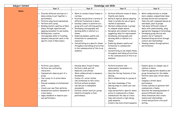| Subject Content | Knowledge and Skills                                                                                                                                                                                                                                                                                                                                                                              |                                                                                                                                                                                                                                                                                                                                                                                                                                                                                                  |                                                                                                                                                                                                                                                                                                                                                                                                                                                                                                                                                                                                       |                                                                                                                                                                                                                                                                                                                                                                                                                                                                                                                     |
|-----------------|---------------------------------------------------------------------------------------------------------------------------------------------------------------------------------------------------------------------------------------------------------------------------------------------------------------------------------------------------------------------------------------------------|--------------------------------------------------------------------------------------------------------------------------------------------------------------------------------------------------------------------------------------------------------------------------------------------------------------------------------------------------------------------------------------------------------------------------------------------------------------------------------------------------|-------------------------------------------------------------------------------------------------------------------------------------------------------------------------------------------------------------------------------------------------------------------------------------------------------------------------------------------------------------------------------------------------------------------------------------------------------------------------------------------------------------------------------------------------------------------------------------------------------|---------------------------------------------------------------------------------------------------------------------------------------------------------------------------------------------------------------------------------------------------------------------------------------------------------------------------------------------------------------------------------------------------------------------------------------------------------------------------------------------------------------------|
|                 | Year 3                                                                                                                                                                                                                                                                                                                                                                                            | Year 4                                                                                                                                                                                                                                                                                                                                                                                                                                                                                           | Year 5                                                                                                                                                                                                                                                                                                                                                                                                                                                                                                                                                                                                | Year 6                                                                                                                                                                                                                                                                                                                                                                                                                                                                                                              |
| Dance           | Practise different sections of a<br>dance aiming to put together a<br>performance.<br>Perform using facial expressions.<br>Perform with a prop.<br>Building stylistic qualities of Barn<br>Dance through repetition and<br>applying movement to own bodies.<br>Building basic creative<br>choreography skills in travelling,<br>dynamics and partner work in the<br>specific style of Barn Dance. | • Work to include freeze frames in<br>routines.<br>• Practise and perform a variety of<br>different formations in dance.<br>Develop a dance to perform as a<br>group with a set starting position.<br>• Developing choreography and<br>devising skills in relation to a<br>theme.<br>• Exploring dynamic quality and<br>formations to communicate<br>character.<br>Concentrating on a specific theme<br>throughout and linking all activities<br>to the communication of this to an<br>audience. | • Perform different styles of dance<br>fluently and clearly.<br>• Refine & improve dances adapting<br>them to include the use of space<br>rhythm & expression.<br>• Worked collaboratively in groups<br>to compose simple dances.<br>Recognise and comment on dances<br>suggesting ideas for improvement.<br>• Developing choreography and<br>devising skills in relation to a<br>theme.<br>Exploring dynamic quality and<br>formations to communicate<br>character.<br>Concentrating on one simple theme<br>throughout and linking all activities<br>to the communication of this to an<br>audience. | Work collaboratively to include<br>more complex compositional ideas<br>• Develop motifs and incorporate<br>them into self-composed dances as<br>individuals, pairs & groups<br>• Talk about different styles of<br>dance with understanding, using<br>appropriate language & terminology<br>• Developing group devices and<br>greater use of teamwork.<br>• Demonstrating narrative through<br>contact and relationships<br>Showing tension through pattern<br>and formation                                        |
|                 | $\circ$ Perform a jazz square.<br>$\circ$ Perform two contrasting<br>characters.<br>$\circ$ Communicate ideas as part of a<br>group.<br>$\circ$ Use a prop in a 4-action dance<br>phrase.<br>o Discuss examples of professional<br>work.<br>o Create your own floor patterns.<br>o Demonstrate stylistic elements of<br>a barn dance.<br>o Apply feedback to improve your<br>own performance.     | Develop dance freeze frames.<br>$\circ$<br>o Perform a slide and roll.<br>$\circ$ Replicate a set phrase.<br>$\circ$ Work collaboratively to sequence<br>movements.<br>$\circ$ Create a 5- action routine.<br>$\circ$ Use formations to tell a story.<br>$\circ$ Perform without prompts.<br>$\circ$ Use devices to manipulate<br>movements.<br>$\circ$ Perform contact work as a group.<br>$\circ$ Identify strengths in their<br>performance.                                                  | o Perform locomotor and<br>nonlocomotor movements in a<br>dance phrase.<br>$\circ$ Describe the key features of line<br>dancing.<br>$\circ$ Work collaboratively in a group of<br>$\circ$ Use basic knowledge of line<br>dancing steps to create your own<br>line dance.<br>$\circ$ Copy and perform a specific dance<br>action to communicate a theme.<br>Communicate the idea of a hero.<br>$\circ$ Copy and execute a high energy<br>jump sequence.<br>$\circ$ Create a low-level attack sequence                                                                                                  | $\circ$ Explore space in a deeper way in<br>relation to dance.<br>$\circ$ Identify appropriate dynamics and<br>group formations for the Hakka.<br>o Perform some basic street dance<br>skills.<br>o Compose a street dance<br>performance.<br>$\circ$ Create a phrase of gestures that<br>communicate a theme.<br>$\circ$ Describe the meaning/purpose of<br>several different devices.<br>$\circ$ Show formations that create<br>tension and relationships.<br>$\circ$ Create and perform a live aural<br>setting. |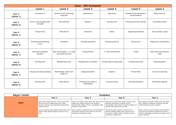|                      |                                               |                                                          | Dance - Skill Development                 |                               |                                                    |                                      |
|----------------------|-----------------------------------------------|----------------------------------------------------------|-------------------------------------------|-------------------------------|----------------------------------------------------|--------------------------------------|
|                      | Lesson 1                                      | Lesson 2                                                 | Lesson 3                                  | Lesson 4                      | Lesson 5                                           | Lesson 6                             |
| Year 3<br>(Option 1) | Jazz square or                                | Perform as two contrasting<br>characters                 | Improvisation                             | Uses a prop                   | Including facial expressions in<br>our performance | 'Being a Director'                   |
| Year 3<br>(Option 2) | Do se do, heel dig gallop, split<br>tuck jump | Floor patterns                                           | Dynamics                                  | Creating action               | Creating action with a partner                     | Performance quality                  |
| Year 4<br>(Option 1) | Freeze frame                                  | Slide and roll                                           | Formations                                | Cannon                        | Sequencing movements                               | Start positions / poses              |
| Year 4<br>(Option 2) | Performing and developing<br>action           | Formations                                               | Travelling movements                      | Introducing devices           | Contact work                                       | Preparing for a performance          |
| Year 5<br>(Option 1) | Step touch and Bangra<br>shoulders            | Basic hip movement, 1, 2, 3 step<br>and around the world | Group patterns                            | 1, 2 and 4 wall patterns      | 3 steps                                            | Slide, knee bends and pivot<br>steps |
| Year 5<br>(Option 2) | Creating action                               | Manipulating actions                                     | Changing level of movement                | Creating flight through jumps | Creating bold actions                              | Improving quality                    |
| Year 6<br>(Option 1) | Stag leap and rebound jumping                 | Relationships- contact and<br>simple lift                | Copying movements                         | Dynamics                      | Freeze frame                                       | Top rock & Slide step                |
| Year 6<br>(Option 2) | Creating action                               | Group devices                                            | Formations for tension &<br>relationships | Live aural setting            | Attacking movements                                | Performance qualities                |

| Subject Content | Vocabularv                                                                                                                                                                                           |                                                                                                                                                                                                              |                                                                                                                                                                                                                     |                                                                                                                                                                                                           |  |  |
|-----------------|------------------------------------------------------------------------------------------------------------------------------------------------------------------------------------------------------|--------------------------------------------------------------------------------------------------------------------------------------------------------------------------------------------------------------|---------------------------------------------------------------------------------------------------------------------------------------------------------------------------------------------------------------------|-----------------------------------------------------------------------------------------------------------------------------------------------------------------------------------------------------------|--|--|
|                 | Year 3                                                                                                                                                                                               | Year 4                                                                                                                                                                                                       | Year 5                                                                                                                                                                                                              | Year 6                                                                                                                                                                                                    |  |  |
| Dance           | Dance, twist, rhythm, step, music, beat, stretch, levels,<br>fast, slow, direction, huddle, group, mood, feeling,<br>musicality, emotions, facial expressions, improvisations,<br>rehearse, director | Dance, turn, rhythm, stretch, levels, fast. slow, direction,<br>huddle, mood, feeling, emotions, facial expression,<br>improvisations, rehearse, director, choreographer, slide,<br>formation, freeze frames | Dance, stretch, levels, mood, feelings, emotions, facial<br>expression, improvisation, rehearse, director,<br>choreographer, slide, formation, locomotion, Bangra, wall<br>patterns, steps, dance style, pivot step | Motif, phrase, street dance, Hakka, Step, slide, repeat,<br>beat, composition, collaborate, formations, stag leap,<br>rebound, expression, gesture, dynamics                                              |  |  |
|                 | Do Se Do, hop step change, dynamics, partner work, floor<br>patterns, shape, angular, energetic, strong, mirroring,<br>linear                                                                        | Contact, dynamics, communicate, focus, facial expression,<br>floor pattern, formation, level, speed, size, direction,<br>background, ornamentation, facing                                                   | Performance, quality, dynamics, formations, floor<br>patterns, assemble, sissone, saute, jump, fall, travel,<br>turn, gesture, stillness, chaine, retrograde, inversion,<br>instrumental, fragmentation             | Cannon, contrast, variation, dynamics, facial expression,<br>focus, devices, group devices, speed level, narrative,<br>tension & relationships, aural setting, accompany, contact,<br>quality, confidence |  |  |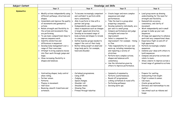| Subject Content   | <b>Knowledge and Skills</b>                                                                                                                                                                                                                                                                                                                                                                                                                                                                                                                                                                                 |                                                                                                                                                                                                                                                                                                                                                                                                                                                                                                                           |                                                                                                                                                                                                                                                                                                                                                                                                                                                                                                                                                                                                                               |                                                                                                                                                                                                                                                                                                                                                                                                                                                                                                                                                                                                                             |  |
|-------------------|-------------------------------------------------------------------------------------------------------------------------------------------------------------------------------------------------------------------------------------------------------------------------------------------------------------------------------------------------------------------------------------------------------------------------------------------------------------------------------------------------------------------------------------------------------------------------------------------------------------|---------------------------------------------------------------------------------------------------------------------------------------------------------------------------------------------------------------------------------------------------------------------------------------------------------------------------------------------------------------------------------------------------------------------------------------------------------------------------------------------------------------------------|-------------------------------------------------------------------------------------------------------------------------------------------------------------------------------------------------------------------------------------------------------------------------------------------------------------------------------------------------------------------------------------------------------------------------------------------------------------------------------------------------------------------------------------------------------------------------------------------------------------------------------|-----------------------------------------------------------------------------------------------------------------------------------------------------------------------------------------------------------------------------------------------------------------------------------------------------------------------------------------------------------------------------------------------------------------------------------------------------------------------------------------------------------------------------------------------------------------------------------------------------------------------------|--|
|                   | Year 3                                                                                                                                                                                                                                                                                                                                                                                                                                                                                                                                                                                                      | Year 4                                                                                                                                                                                                                                                                                                                                                                                                                                                                                                                    | Year 5                                                                                                                                                                                                                                                                                                                                                                                                                                                                                                                                                                                                                        | Year 6                                                                                                                                                                                                                                                                                                                                                                                                                                                                                                                                                                                                                      |  |
| <b>Gymnastics</b> | Modify actions independently using<br>different pathways, directions and<br>shapes.<br>Consolidate and improve the quality<br>of movements and gymnastics<br>actions.<br>Relate strength and flexibility to<br>the actions and movements they<br>are performing.<br>To use basic compositional ideas to<br>improve sequence work.<br>• Identify similarities and<br>differences in sequences.<br>Develop body management over a<br>range of floor exercises.<br>• Attempt to bring explosive moves<br>into floor work through jumps and<br>leaps.<br>Show increasing flexibility in<br>shapes and balances. | To become increasingly competent<br>and confident to perform skills<br>more consistently.<br>Able to perform in time with a<br>partner and group.<br>Independently use compositional<br>ideas in sequences such as changes<br>in height, speed and direction.<br>Develop an increased range of<br>body actions and shapes to include<br>in a sequence.<br>Define muscles groups needed to<br>support the core of their body.<br>Refine taking weight on small and<br>large body parts, for example,<br>hand and shoulder. | Create longer and more complex<br>sequences and adapt<br>performances.<br>Take the lead in a group when<br>preparing a sequence.<br>Develop symmetry individually, as a<br>pair and in a small group.<br>Compare performances and judge<br>strengths and areas for<br>improvement.<br>Select a component for<br>improvement-for example - timing<br>or flow.<br>Take responsibility for your own<br>warm-up, including remembering<br>and repeating a variety of<br>stretches.<br>Perform more complex actions,<br>shapes and balances with<br>consistency.<br>Use the information given by<br>others to improve performance. | • Lead group warm-up showing<br>understanding for the need for<br>strength and flexibility.<br>Demonstrate accuracy,<br>consistency, and clarity of<br>movement.<br>Work independently and in small<br>groups to make up your own<br>sequences.<br>Arrange own apparatus to enhance<br>work and vary compositional ideas.<br>Experience flight on and off of<br>high apparatus.<br>Perform increasingly complex<br>sequences.<br>• Combine your ideas with others to<br>build sequences.<br>Compose and practise actions and<br>relate to music.<br>Show a desire to improve across a<br>broad range of gymnastics actions. |  |
|                   | o Contrasting shapes, body control<br>when rolling.<br>$\circ$ Partner unison.<br>o Patterns.<br>$\circ$ Fluency in movement.<br>o Half lever.<br>$\circ$ Bouncing, smooth transitions and<br>extension.                                                                                                                                                                                                                                                                                                                                                                                                    | o Cartwheel progressions.<br>$\circ$ Using STEP.<br>Judging.<br>$\circ$<br>Speed changes.<br>$\circ$<br>Shoulder roll.<br>$\circ$<br>Shoulder stand.<br>Showing flow.<br>$\circ$<br>o Fitness through tabattas                                                                                                                                                                                                                                                                                                            | Symmetry & asymmetry.<br>Perform counterbalances.<br>$\circ$<br>Round off progressions.<br>$\circ$<br>Linking cartwheels & round offs.<br>$\circ$<br>Performing pathways.<br>$\circ$<br>Devising warm-ups.<br>$\circ$                                                                                                                                                                                                                                                                                                                                                                                                         | $\circ$ Prepare for vaulting.<br>o Dismounting from height.<br>o Flight in unison & cannon.<br>$\circ$ Use music.<br>$\circ$ Create group patterns.<br>$\circ$ Entrance and relationships to one<br>another.<br>$\circ$ Use stimuli such as ribbons and<br>hoops                                                                                                                                                                                                                                                                                                                                                            |  |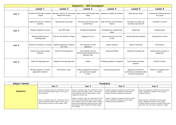|        |                                                    |                                                         | <b>Gymnastics - Skill Development</b>                                        |                                            |                                                                                       |                                               |
|--------|----------------------------------------------------|---------------------------------------------------------|------------------------------------------------------------------------------|--------------------------------------------|---------------------------------------------------------------------------------------|-----------------------------------------------|
|        | Lesson 1                                           | Lesson 2                                                | Lesson 3                                                                     | Lesson 4                                   | Lesson 5                                                                              | Lesson 6                                      |
| Year 3 | Extend into full range in balance<br>/ shape       | Moving in and out of contrasting<br>shapes with fluency | Body control and strength when<br>rolling                                    | Jumping for height and distance            | Basic partner unison                                                                  | Starting and finishing patterns<br>as a group |
|        | Japana and control to transition<br>smoothly       | Bouncing and broad jump                                 | Introduce dish with leg raise<br>and half lever                              | Body control to link movements<br>fluently | Introduce box splits and<br>variations right and left                                 | Extension in actions                          |
| Year 4 | Changes in speeds of actions                       | Use STEP model                                          | Cartwheel progressions                                                       | Developing four compositional<br>ideas     | Cooperation                                                                           | Judging system                                |
|        | Weighted bunny hop and<br>travelling steps         | Roll over the shoulder to knees                         | Engaging the core                                                            | Smooth transition from front<br>to side    | Should stand and cartwheel                                                            | Showing flow in action                        |
| Year 5 | 'Round off' stationary or running                  | Exploring symmetry in balance<br>and travel             | Over shoulder roll and<br>asymmetry                                          | Counter balances                           | Smooth transitions                                                                    | Performance                                   |
|        | Creative use of space along a<br>pathway           | Round off and asymmetry                                 | Over shoulder roll into<br>differentiated handstand into a<br>180/half twist | Linking cartwheels                         | Getting into bridge/crab                                                              | Identify when extension is<br>appropriate     |
| Year 6 | Flight into high apparatus                         | Dismount from high apparatus                            | Cannon                                                                       | Including equipment in sequence            | Paired unison and cannon<br>sequence                                                  | Perform to music                              |
|        | Working together to choose<br>appropriate elements | Performing to music                                     | Selecting appropriate actions to<br>get a good score against<br>criteria     | Creating group patterns                    | Appropriate entrance to<br>performance including the walk<br>to and starting position | Timing to fit sequence into 1<br>minute       |

| Subject Content   | Vocabulary                                                                                                                                                                       |                                                                                                                                                                                                                                                                                                                             |                                                                                                                                                               |                                                                                                                                                                                                                                  |
|-------------------|----------------------------------------------------------------------------------------------------------------------------------------------------------------------------------|-----------------------------------------------------------------------------------------------------------------------------------------------------------------------------------------------------------------------------------------------------------------------------------------------------------------------------|---------------------------------------------------------------------------------------------------------------------------------------------------------------|----------------------------------------------------------------------------------------------------------------------------------------------------------------------------------------------------------------------------------|
|                   | Year 3                                                                                                                                                                           | Year 4                                                                                                                                                                                                                                                                                                                      | Year 5                                                                                                                                                        | Year 6                                                                                                                                                                                                                           |
| <b>Gymnastics</b> | Fluency, contrasting, unison, low, combinations, full turn,<br>half-turn, sustained, explosive, power, control, group,<br>similar different                                      | Fluency, contrasting, unison, low, combinations, full turn,<br>half-turn, sustained, explosive, power, control, group,<br>similar different, direction, speed, partner, actions,<br>compositional, stamina, leap                                                                                                            | Symmetry, sequences, combinations, direction, speed,<br>partner, asymmetrical, elements, control, balance,<br>strength, flexibility, asymmetrical, aesthetics | Flight, vault, sequences, combinations, direction, speed,<br>partner, asymmetrical, elements, control, balance,<br>strength, flexibility                                                                                         |
|                   | Fluency, contrasting, unison, low, combinations, full turn,<br>half-turn, sustained, explosive, power, control, group,<br>similar different, bounce, box splits, dynamic. static | Fluency, contrasting, unison, low, combinations, full turn,<br>half-turn, sustained, explosive, power, control, group,<br>similar different, bounce, box splits, tension, travelling<br>steps, muscles (quadriceps, hamstrings, bicep, triceps,<br>gastrocnemius, deltoid, abdominals, obliques), engage<br>core, stabilise | Symmetry, sequences, combinations, direction, speed,<br>partner, asymmetrical, elements, control, balance,<br>strength, flexibility, asymmetrical,            | Flight, sequences, combinations, direction, speed,<br>partner, asymmetrical, actions, control, balance,<br>strength, flexibility, half lever, box splits, bridge, broad<br>jump, splits, dish, arch, bounce, competency. complex |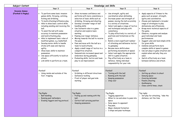| Subject Content                             | Knowledge and Skills                                                                                                                                                                                                                                                                                                                                                                                                                                                                                                                                                                                                           |                                                                                                                                                                                                                                                                                                                                                                                                                                                                                                                                                                                                                                    |                                                                                                                                                                                                                                                                                                                                                                                                                                                                                                                                                                                                                                                                                                    |                                                                                                                                                                                                                                                                                                                                                                                                                                                                                                                                                                                                             |  |
|---------------------------------------------|--------------------------------------------------------------------------------------------------------------------------------------------------------------------------------------------------------------------------------------------------------------------------------------------------------------------------------------------------------------------------------------------------------------------------------------------------------------------------------------------------------------------------------------------------------------------------------------------------------------------------------|------------------------------------------------------------------------------------------------------------------------------------------------------------------------------------------------------------------------------------------------------------------------------------------------------------------------------------------------------------------------------------------------------------------------------------------------------------------------------------------------------------------------------------------------------------------------------------------------------------------------------------|----------------------------------------------------------------------------------------------------------------------------------------------------------------------------------------------------------------------------------------------------------------------------------------------------------------------------------------------------------------------------------------------------------------------------------------------------------------------------------------------------------------------------------------------------------------------------------------------------------------------------------------------------------------------------------------------------|-------------------------------------------------------------------------------------------------------------------------------------------------------------------------------------------------------------------------------------------------------------------------------------------------------------------------------------------------------------------------------------------------------------------------------------------------------------------------------------------------------------------------------------------------------------------------------------------------------------|--|
|                                             | Year 3                                                                                                                                                                                                                                                                                                                                                                                                                                                                                                                                                                                                                         | Year 4                                                                                                                                                                                                                                                                                                                                                                                                                                                                                                                                                                                                                             | Year 5                                                                                                                                                                                                                                                                                                                                                                                                                                                                                                                                                                                                                                                                                             | Year 6                                                                                                                                                                                                                                                                                                                                                                                                                                                                                                                                                                                                      |  |
| <b>Invasion Games</b><br>(Football & Rugby) | To perform some basic invasion<br>games skills, throwing, catching,<br>kicking and dribbling.<br>To build attacking/offensive play.<br>• Able to show basic control skills,<br>including sending and receiving the<br>ball.<br>• To send the ball with some<br>accuracy to maintain possession<br>and build attacking play.<br>• Able to implement basic rules of<br>modified games, e.g. basketball.<br>• Develop motor skills to handle<br>sticks with ease and improve<br>agility.<br>Show basic skills to maintain<br>possession.<br>• Use space efficiently to build an<br>attack.<br>• Link skills to perform as a team. | Show increases confidence and<br>performs with more consistency a<br>selection of basic skills such as<br>dribbling, throwing and shooting<br>Develop a broader range of ball<br>handling skills<br>Use footwork rules in a game<br>situation and explore basic<br>marking.<br>Passing over longer distance.<br>Moving towards the ball to receive<br>the pass.<br>Pass and move with the ball as a<br>team to build attacks.<br>Apply a small range of tactics in a<br>competitive situation.<br>Demonstrate increased speed and<br>endurance during gameplay.<br>Evaluating skills, tactics and team<br>play to aid improvement. | • Use strength, agility and<br>coordination when defending.<br>• Increase power and strength of<br>passes, moving the ball accurately<br>in a variety of situations.<br>Select and apply a range of tactics<br>$\bullet$<br>and techniques and play with<br>consistency.<br>To play effectively in a variety of<br>positions and formations on the<br>pitch.<br>Relate a more significant number<br>$\bullet$<br>of attacking and defensive tactics<br>to gameplay<br>Become more skilful when<br>performing movements at speed.<br>Select and apply the appropriate<br>skill in a game situation.<br>Play effectively as a team in<br>defence, taking individual<br>responsibility for your role. | Apply aspects of fitness to the<br>game such as power, strength,<br>agility and coordination.<br>Choose and implement a broader<br>range of strategies to play<br>defensively and offensively.<br>Grasp more technical aspects of<br>the game.<br>Observe, recognise and analyse<br>good individual and team<br>performances.<br>Suggest, plan and lead simple drills<br>for given skills.<br>Combine and perform more<br>complex skills at speed in games.<br>Use set plays in game situation and<br>explain when and why they are<br>used.<br>Switch effectively as a team<br>between defence and attack. |  |
|                                             | Football<br>$\circ$ Using inside and outside of the<br>foot, trapping.                                                                                                                                                                                                                                                                                                                                                                                                                                                                                                                                                         | Football<br>Dribbling in different directions<br>$\circ$<br>Defensive tackling<br>$\circ$<br>Front of player and goal side<br>marking                                                                                                                                                                                                                                                                                                                                                                                                                                                                                              | Football<br>Turning with the ball<br>$\circ$<br>$\circ$ Running with the ball<br>Keeping possession<br>$\circ$<br>o Step over                                                                                                                                                                                                                                                                                                                                                                                                                                                                                                                                                                      | Football<br>Setting up others to shoot<br>Denying space<br>Covering defender<br>Penalty shooting<br>Goalkeeping<br>Close control knee, chest.                                                                                                                                                                                                                                                                                                                                                                                                                                                               |  |
|                                             | Tag Rugby<br>$\circ$ Ball handling.<br>o Running past defenders.<br>o Evading taggers and tag protocol.                                                                                                                                                                                                                                                                                                                                                                                                                                                                                                                        | Tag Rugby<br>$\circ$ Picking up and running with the<br>ball,<br>Correct ball carrying position<br>$\circ$<br>Keeping possession.<br>$\circ$                                                                                                                                                                                                                                                                                                                                                                                                                                                                                       | Tag Rugby<br>Tagging opposition<br>$\circ$<br>When to run and when to pass into<br>$\circ$<br>space<br>Deny space to opponent<br>$\circ$<br>Pop pass,<br>$\circ$<br>Magic diamond formation<br>$\circ$<br>3 steps and pass technique.<br>$\circ$                                                                                                                                                                                                                                                                                                                                                                                                                                                   | Tag rugby<br>$\circ$ Set play for attacking, 'take the<br>distance, not the time                                                                                                                                                                                                                                                                                                                                                                                                                                                                                                                            |  |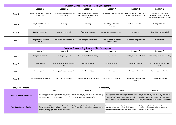|        |                                                  |                                                | Invasion Games - Football - Skill Development                             |                                               |                                                                |                                                                                            |
|--------|--------------------------------------------------|------------------------------------------------|---------------------------------------------------------------------------|-----------------------------------------------|----------------------------------------------------------------|--------------------------------------------------------------------------------------------|
|        | Lesson 1                                         | Lesson 2                                       | Lesson 3                                                                  | Lesson 4                                      | Lesson 5                                                       | Lesson 6                                                                                   |
| Year 3 | Sending the ball using the inside<br>of the foot | Trapping a ball travelling along<br>the ground | Passing over short distances<br>and players moving to receive<br>the ball | Finding space to receive the ball             | Use the outside of the foot to<br>control the ball and dribble | Working as a team show<br>communication and cushioning<br>the ball when receiving the pass |
| Year 4 | Coming towards the ball to<br>receive            | Marking                                        | Tackling                                                                  | Dribbling in different<br>directions          | Passing over distance                                          | Passing on the move                                                                        |
| Year 5 | Turning with the ball                            | Running with the ball                          | Passing on the move                                                       | Maintaining space on the pitch                | Step over                                                      | Controlling a bouncing ball                                                                |
| Year 6 | Setting up other players to<br>shoot             | Deny space, restricted space                   | Attacking set play routine                                                | Attack and shoot in pairs<br>learning a drill | Role of covering defender                                      | Close control                                                                              |

|        |                              | <b>Invasion Games</b>                   | Tag Rugby -                    | <b>Skill Development</b>    |                                      |                                    |
|--------|------------------------------|-----------------------------------------|--------------------------------|-----------------------------|--------------------------------------|------------------------------------|
|        | Lesson 1                     | Lesson 2                                | Lesson 3                       | Lesson 4                    | Lesson 5                             | Lesson 6                           |
| Year 3 | Run past defenders           | Handling a rugby ball                   | Evading tags when attacking    | Tag protocol                | Closing down the attacker            | Introducing simple back passing    |
| Year 4 | Basic passing                | Picking up and running with the<br>ball | Keeping possession             | Evading defenders           | Running into space                   | Pacing runs throughout the<br>game |
| Year 5 | Tagging opposition           | Running and passing accurately          | Principles of defence          | Pop pass                    | The 'magic diamond'                  | Take metres not the time           |
| Year 6 | Support player with the ball | Set plays for attacking                 | Take the distance not the time | Spaces not faces principles | Transition from attack to<br>defence | Observe and analyse                |

| Subject Content                  | Vocabulary                                                                                                                                                                                             |                                                                                                                                                                        |                                                                                                                                                                                                                                         |                                                                                                                                                                                                                                                                    |  |
|----------------------------------|--------------------------------------------------------------------------------------------------------------------------------------------------------------------------------------------------------|------------------------------------------------------------------------------------------------------------------------------------------------------------------------|-----------------------------------------------------------------------------------------------------------------------------------------------------------------------------------------------------------------------------------------|--------------------------------------------------------------------------------------------------------------------------------------------------------------------------------------------------------------------------------------------------------------------|--|
|                                  | Year 3                                                                                                                                                                                                 | Year 4                                                                                                                                                                 | Year 5                                                                                                                                                                                                                                  | Year 6                                                                                                                                                                                                                                                             |  |
| <b>Invasion Games - Football</b> | Control, use space, defend, attack, dribble, pass, tactics,<br>compete, collaborate, teamwork, score, shoot, intercept,<br>foot, inside of the foot, touch, possession                                 | Control, use space, defend, attack, dribble, pass, tactics,<br>compete, collaborate, teamwork, score, shoot, intercept,<br>foot, inside of the foot, touch, possession | Control, use space, speed, mark, defend, attack, dribble,<br>pass, tactics, compete, collaborate, teamwork, score,<br>interchange, regain, shoot, positions, power, distance,<br>perform, consistent, fair play, possessions, goal side | Control, use space, defend, attack, dribble, pass, tactics,<br>strategy, compete, collaborate, teamwork, score, shoot,<br>positions, power, distance, perform, consistent, fair play,<br>tackle, covering, supporting, set up, assist, deny, set play,<br>covering |  |
| <b>Invasion Games - Rugby</b>    | Space, pass, accurately, mark, dodge, attack, defend,<br>footwork, possession, change of direction, tactics,<br>teamwork, zones, intercept, sidestep, send, tag, release,<br>safe, passing back, feint | Passing, running, backwards, tag, straight, teamwork, try-<br>area, defend, attack, compete, evade, pace, pickup, step                                                 | Passing, running, backwards, tag, straight, space,<br>teamwork, try-area, defend, attack, retain, contest,<br>possession, pressure, support, pop pass, turn over, loss<br>pass                                                          | Passing, running, backwards, tag, straight, space,<br>teamwork, try-area, defend, attack, retain, contest,<br>possession, pressure, support                                                                                                                        |  |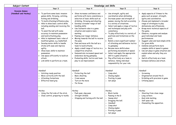|                                                                        | Year 6                                                                                                                                                                                                                                                                                                                                                                                                                                                                                                                                                                                                      |
|------------------------------------------------------------------------|-------------------------------------------------------------------------------------------------------------------------------------------------------------------------------------------------------------------------------------------------------------------------------------------------------------------------------------------------------------------------------------------------------------------------------------------------------------------------------------------------------------------------------------------------------------------------------------------------------------|
|                                                                        |                                                                                                                                                                                                                                                                                                                                                                                                                                                                                                                                                                                                             |
| of<br>tely<br>ctics<br>y of<br>Ιe<br>oer<br><b>ctics</b><br>гd.<br>ate | Apply aspects of fitness to the<br>game such as power, strength,<br>agility and coordination.<br>Choose and implement a broader<br>range of strategies to play<br>defensively and offensively.<br>Grasp more technical aspects of<br>the game.<br>Observe, recognise and analyse<br>good individual and team<br>performances.<br>Suggest, plan and lead simple drills<br>for given skills.<br>Combine and perform more<br>complex skills at speed in games.<br>Use set plays in game situation and<br>explain when and why they are<br>used.<br>Switch effectively as a team<br>between defence and attack. |
|                                                                        | Handball<br>Screening<br>O<br>$\circ$ Organisation around the D<br>$\circ$ Dribbling with precision in game<br>$\circ$ Utilising space                                                                                                                                                                                                                                                                                                                                                                                                                                                                      |
|                                                                        | Hockey<br>Shooting from close range<br>$\circ$<br>o Long corners<br>$\circ$ Goal-side marking<br>$\circ$ Self-pass rule<br>$\circ$ Channelling the opposition.                                                                                                                                                                                                                                                                                                                                                                                                                                              |

| Subject Content                                | Knowledge and Skills                                                                                                                                                                                                                                                                                                                                                                                                                                                                                                                                                                                                                         |                                                                                                                                                                                                                                                                                                                                                                                                                                                                                                                                                                                                                                      |                                                                                                                                                                                                                                                                                                                                                                                                                                                                                                                                                                                                                                                                                     |                                                                                                                                                                                                                                                                                                                                                                                                                                                                  |  |
|------------------------------------------------|----------------------------------------------------------------------------------------------------------------------------------------------------------------------------------------------------------------------------------------------------------------------------------------------------------------------------------------------------------------------------------------------------------------------------------------------------------------------------------------------------------------------------------------------------------------------------------------------------------------------------------------------|--------------------------------------------------------------------------------------------------------------------------------------------------------------------------------------------------------------------------------------------------------------------------------------------------------------------------------------------------------------------------------------------------------------------------------------------------------------------------------------------------------------------------------------------------------------------------------------------------------------------------------------|-------------------------------------------------------------------------------------------------------------------------------------------------------------------------------------------------------------------------------------------------------------------------------------------------------------------------------------------------------------------------------------------------------------------------------------------------------------------------------------------------------------------------------------------------------------------------------------------------------------------------------------------------------------------------------------|------------------------------------------------------------------------------------------------------------------------------------------------------------------------------------------------------------------------------------------------------------------------------------------------------------------------------------------------------------------------------------------------------------------------------------------------------------------|--|
|                                                | Year 3                                                                                                                                                                                                                                                                                                                                                                                                                                                                                                                                                                                                                                       | Year 4                                                                                                                                                                                                                                                                                                                                                                                                                                                                                                                                                                                                                               | Year 5                                                                                                                                                                                                                                                                                                                                                                                                                                                                                                                                                                                                                                                                              | Year 6                                                                                                                                                                                                                                                                                                                                                                                                                                                           |  |
| <b>Invasion Games</b><br>(Handball and Hockey) | To perform some basic invasion<br>$\bullet$<br>games skills, throwing, catching,<br>kicking and dribbling.<br>To build attacking/offensive play.<br>Able to show basic control skills,<br>including sending and receiving the<br>ball.<br>To send the ball with some<br>accuracy to maintain possession<br>and build attacking play.<br>Able to implement basic rules of<br>modified games, e.g. basketball.<br>Develop motor skills to handle<br>$\bullet$<br>sticks with ease and improve<br>agility.<br>Show basic skills to maintain<br>possession.<br>Use space efficiently to build an<br>attack.<br>Link skills to perform as a team. | • Show increases confidence and<br>performs with more consistency a<br>selection of basic skills such as<br>dribbling, throwing and shooting<br>Develop a broader range of ball<br>handling skills<br>Use footwork rules in a game<br>situation and explore basic<br>marking.<br>Passing over longer distance.<br>Moving towards the ball to receive<br>the pass.<br>Pass and move with the ball as a<br>team to build attacks.<br>Apply a small range of tactics in a<br>competitive situation.<br>Demonstrate increased speed and<br>endurance during gameplay.<br>Evaluating skills, tactics and team<br>play to aid improvement. | • Use strength, agility and<br>coordination when defending.<br>Increase power and strength of<br>passes, moving the ball accurately<br>in a variety of situations.<br>Select and apply a range of tactics<br>$\bullet$<br>and techniques and play with<br>consistency.<br>To play effectively in a variety of<br>positions and formations on the<br>pitch.<br>Relate a more significant number<br>of attacking and defensive tactics<br>to gameplay<br>Become more skilful when<br>performing movements at speed.<br>Select and apply the appropriate<br>skill in a game situation.<br>Play effectively as a team in<br>defence, taking individual<br>responsibility for your role. | Apply aspects of fitn<br>game such as power,<br>agility and coordinati<br>Choose and implemen<br>range of strategies t<br>defensively and offer<br>Grasp more technical<br>the game.<br>Observe, recognise a<br>good individual and te<br>performances.<br>Suggest, plan and lea<br>for given skills.<br>Combine and perform<br>complex skills at spee<br>Use set plays in game<br>explain when and why<br>used.<br>Switch effectively as<br>between defence and |  |
|                                                | Handball<br>Catching ready position.<br>$\circ$<br>Move correctly with the ball.<br>$\circ$<br>Attacking formations.<br>$\circ$<br>Effective hand grip.<br>$\circ$                                                                                                                                                                                                                                                                                                                                                                                                                                                                           | Handball<br>$\circ$ Protecting the ball<br><b>Basic shooting</b><br>$\circ$<br>3 man weave<br>$\circ$<br>Turn on the move<br>7m throw.<br>$\circ$                                                                                                                                                                                                                                                                                                                                                                                                                                                                                    | Handball<br>Jump shot,<br>$\circ$<br>Closing angles<br>$\circ$<br>Pivoting to pass<br>$\circ$<br>Set plays<br>$\circ$                                                                                                                                                                                                                                                                                                                                                                                                                                                                                                                                                               | Handball<br>Screening<br>$\circ$<br>Organisation around<br>$\circ$<br>Dribbling with precis<br>$\circ$<br>o Utilising space                                                                                                                                                                                                                                                                                                                                      |  |
|                                                | Hockey<br>$\circ$ Using the flat side of the stick.<br>Close control, preparing to tackle.<br>$\circ$                                                                                                                                                                                                                                                                                                                                                                                                                                                                                                                                        | Hockey<br>$\circ$ Push pass, slap pass<br>o Straight dribble<br>$\circ$ Stopping and turning with the ball.                                                                                                                                                                                                                                                                                                                                                                                                                                                                                                                          | Hockey<br><b>Block tackle</b><br>$\circ$<br>$\circ$ Passing in the D<br>o Sweep shot<br>Dragging the ball.<br>$\circ$<br>Handball<br>$\circ$<br>Jump shot<br>$\circ$<br>Closing angles<br>$\circ$<br>Pivoting to pass<br>$\circ$<br>Set plays<br>$\circ$                                                                                                                                                                                                                                                                                                                                                                                                                            | Hockey<br>Shooting from close<br>Long corners<br>$\circ$<br>Goal-side marking<br>$\circ$<br>Self-pass rule<br>$\circ$<br>Channelling the oppos<br>$\circ$                                                                                                                                                                                                                                                                                                        |  |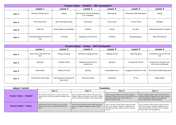| Invasion Games - Handball - Skill Development |                                         |                                |                                                      |              |                                |                                |
|-----------------------------------------------|-----------------------------------------|--------------------------------|------------------------------------------------------|--------------|--------------------------------|--------------------------------|
|                                               | Lesson 1                                | Lesson 2                       | Lesson 3                                             | Lesson 4     | Lesson 5                       | Lesson 6                       |
| Year 3                                        | Catching - Ready position               | Passing                        | Moving with the ball and passing<br>it to a teammate | Intercepting | Attacking in small sided games | Passing                        |
| Year 4                                        | Protecting the ball                     | Basic shooting technique       | 3 man weave                                          | Turn on move | 7-metre throw                  | Gameplay                       |
| Year 5                                        | Jump shot                               | Closing angles as a goalkeeper | Dribbling                                            | Pivoting     | Set plays                      | Implementing skills into games |
| Year 6                                        | Conditioned game with three 3's<br>rule | Screening                      | Organisation around the D                            | Dribbling    | Recognising space              | Basic skill selection          |

| Invasion Games - Hockey - Skill Development |                                         |                                                |                                             |                    |                                 |                                                            |
|---------------------------------------------|-----------------------------------------|------------------------------------------------|---------------------------------------------|--------------------|---------------------------------|------------------------------------------------------------|
|                                             | Lesson 1                                | Lesson 2                                       | Lesson 3                                    | Lesson 4           | Lesson 5                        | Lesson 6                                                   |
| Year 3                                      | Close contact with flat of the<br>stick | Passing into space                             | Defensive tackling positions                | Stopping the ball  | Improving agility               | Avoiding foot contact with the<br>ball                     |
| Year 4                                      | Push pass                               | Straight dribble                               | Stopping the ball with the<br>reverse stick | Slap pass          | Turning with the ball           | Pacing runs in the game to be<br>able to work continuously |
| Year 5                                      | Block tackle                            | Passing into the D                             | Marking                                     | Sweep (Open stick) | Dragging the ball left to right | One-handed dribble (open side)                             |
| Year 6                                      | Shooting from close range               | Positioning and strategies for<br>long corners | Goal side marking                           | Channelling        | Hit out                         | Indian dribble                                             |

| Subject Content                  | Vocabulary                                                                                                                    |                                                                                                                                                                                 |                                                                                                                                                                                                         |                                                                                                                                                                                                                             |  |  |
|----------------------------------|-------------------------------------------------------------------------------------------------------------------------------|---------------------------------------------------------------------------------------------------------------------------------------------------------------------------------|---------------------------------------------------------------------------------------------------------------------------------------------------------------------------------------------------------|-----------------------------------------------------------------------------------------------------------------------------------------------------------------------------------------------------------------------------|--|--|
|                                  | Year 3                                                                                                                        | Year 4                                                                                                                                                                          | Year 5                                                                                                                                                                                                  | Year 6                                                                                                                                                                                                                      |  |  |
| <b>Invasion Games - Handball</b> | Shoot, defend, attack, block, run, control, catch, pass,<br>teamwork, score, intercept, possession, movement, using<br>space  | Control, use space, defend, attack, chest pass, tactics,<br>compete, collaborate, teamwork, score, shoot, footwork,<br>foul, free throw, link, teamwork, 3 step, double dribble | Control, use space, defend, attack, tactics, compete,<br>collaborate, teamwork, score, shoot, footwork, foul, free<br>pass, dribble, block, screen, steps, double fault,<br>offensive, foul, free throw | Control, use space, defend, attack, chest pass, tactics,<br>compete, collaborate, teamwork, score, shoot, footwork,<br>foul, free pass, pivot, blocking, screen, goalkeeper,<br>dribble, skill selection, conditioned games |  |  |
| <b>Invasion Games - Hockey</b>   | Hockey, sticks, pitch, run, agility, stop, trap, attack,<br>defend, shoot, control, aim, tackle, block, ball, quick,<br>shaft | Control, use space, defend, attack, dribble, pass, push,<br>slap, tactics, compete, collaborate, teamwork, score,<br>shoot                                                      | Control, use space, defend, attack, dribble, pass, push,<br>slap, tactics, compete, collaborate, teamwork, score,<br>shoot, positions, power, distance, perform, consistent,<br>fair play               | Control, use space, defend, attack, dribble, pass, push,<br>slap, tactics, compete, collaborate, teamwork, score,<br>shoot, positions, power, distance, perform, consistent,<br>fair play, tackle, covering, supporting     |  |  |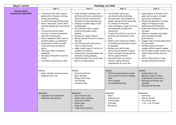| Subject Content                                   | Knowledge and Skills                                                                                                                                                                                                                                                                                                                                                                                                                                                                                                                                                                                                                                                                |                                                                                                                                                                                                                                                                                                                                                                                                                                                                                                                                                                                                                                    |                                                                                                                                                                                                                                                                                                                                                                                                                                                                                                                                                                                                                                                                        |                                                                                                                                                                                                                                                                                                                                                                                                                                                                                                                                                                                                             |  |
|---------------------------------------------------|-------------------------------------------------------------------------------------------------------------------------------------------------------------------------------------------------------------------------------------------------------------------------------------------------------------------------------------------------------------------------------------------------------------------------------------------------------------------------------------------------------------------------------------------------------------------------------------------------------------------------------------------------------------------------------------|------------------------------------------------------------------------------------------------------------------------------------------------------------------------------------------------------------------------------------------------------------------------------------------------------------------------------------------------------------------------------------------------------------------------------------------------------------------------------------------------------------------------------------------------------------------------------------------------------------------------------------|------------------------------------------------------------------------------------------------------------------------------------------------------------------------------------------------------------------------------------------------------------------------------------------------------------------------------------------------------------------------------------------------------------------------------------------------------------------------------------------------------------------------------------------------------------------------------------------------------------------------------------------------------------------------|-------------------------------------------------------------------------------------------------------------------------------------------------------------------------------------------------------------------------------------------------------------------------------------------------------------------------------------------------------------------------------------------------------------------------------------------------------------------------------------------------------------------------------------------------------------------------------------------------------------|--|
|                                                   | Year 3                                                                                                                                                                                                                                                                                                                                                                                                                                                                                                                                                                                                                                                                              | Year 4                                                                                                                                                                                                                                                                                                                                                                                                                                                                                                                                                                                                                             | Year 5                                                                                                                                                                                                                                                                                                                                                                                                                                                                                                                                                                                                                                                                 | Year 6                                                                                                                                                                                                                                                                                                                                                                                                                                                                                                                                                                                                      |  |
| <b>Invasion Games</b><br>(Netball and Basketball) | To perform some basic invasion<br>$\bullet$<br>games skills, throwing, catching,<br>kicking and dribbling.<br>To build attacking/offensive play.<br>$\bullet$<br>Able to show basic control skills,<br>including sending and receiving the<br>ball.<br>To send the ball with some<br>$\bullet$<br>accuracy to maintain possession<br>and build attacking play.<br>Able to implement basic rules of<br>modified games, e.g. basketball.<br>Develop motor skills to handle<br>$\bullet$<br>sticks with ease and improve<br>agility.<br>Show basic skills to maintain<br>possession.<br>Use space efficiently to build an<br>$\bullet$<br>attack.<br>Link skills to perform as a team. | Show increases confidence and<br>performs with more consistency a<br>selection of basic skills such as<br>dribbling, throwing and shooting<br>Develop a broader range of ball<br>handling skills<br>Use footwork rules in a game<br>situation and explore basic<br>marking.<br>Passing over longer distance.<br>Moving towards the ball to receive<br>the pass.<br>Pass and move with the ball as a<br>team to build attacks.<br>Apply a small range of tactics in a<br>competitive situation.<br>Demonstrate increased speed and<br>endurance during gameplay.<br>Evaluating skills, tactics and team<br>play to aid improvement. | • Use strength, agility and<br>coordination when defending.<br>Increase power and strength of<br>passes, moving the ball accurately<br>in a variety of situations.<br>Select and apply a range of tactics<br>and techniques and play with<br>consistency.<br>To play effectively in a variety of<br>positions and formations on the<br>pitch.<br>Relate a more significant number<br>of attacking and defensive tactics<br>to gameplay<br>Become more skilful when<br>performing movements at speed.<br>Select and apply the appropriate<br>skill in a game situation.<br>Play effectively as a team in<br>defence, taking individual<br>responsibility for your role. | Apply aspects of fitness to the<br>game such as power, strength,<br>agility and coordination.<br>Choose and implement a broader<br>range of strategies to play<br>defensively and offensively.<br>Grasp more technical aspects of<br>the game.<br>Observe, recognise and analyse<br>good individual and team<br>performances.<br>Suggest, plan and lead simple drills<br>for given skills.<br>Combine and perform more<br>complex skills at speed in games.<br>Use set plays in game situation and<br>explain when and why they are<br>used.<br>Switch effectively as a team<br>between defence and attack. |  |
|                                                   | Netball<br>Chest, shoulder and bounce pass.<br>$\circ$<br>$\circ$ Dodging to get free.<br>Basketball<br>$\circ$ Jump Ball, two handed shot.<br>$\circ$ Defensive body position.                                                                                                                                                                                                                                                                                                                                                                                                                                                                                                     | Netball<br>$\circ$ Protecting the ball<br>Basic shooting<br>$\circ$<br>Playing within 3rds<br>$\circ$<br>1to1 marking<br>$\circ$<br>Footwork rules<br>$\circ$<br>Basketball<br>O Use footwork rules<br>Explore basic marking<br>$\circ$<br>Cross over dribble                                                                                                                                                                                                                                                                                                                                                                      | Netball<br>$\circ$ Effective bounce pass in a game,<br>$\circ$ Use a greater variety of dodging<br>skills<br>$\circ$ Pivot and pass,<br>$\circ$ Two-handed shooting<br>Basketball<br>○ Block<br>o Forward pivot                                                                                                                                                                                                                                                                                                                                                                                                                                                        | Netball<br>o Double bounce rule<br>$\circ$ Marking to pass or shoot<br>$\circ$ Organisation around the D<br>Rebounds as attacker and<br>defender<br>$\circ$ Knocking the ball away.<br>Basketball<br>o Fast break<br>o Retreat dribble<br>$\circ$ Free throw rules                                                                                                                                                                                                                                                                                                                                          |  |
|                                                   |                                                                                                                                                                                                                                                                                                                                                                                                                                                                                                                                                                                                                                                                                     | $\circ$<br>Bounce pass<br>$\circ$<br>Jump shot<br>$\circ$<br>Triple threat position.<br>$\circ$                                                                                                                                                                                                                                                                                                                                                                                                                                                                                                                                    | o Forward pass<br>o Push pass,<br>$\circ$ Boxing out.                                                                                                                                                                                                                                                                                                                                                                                                                                                                                                                                                                                                                  | $\circ$ L-cut, v-cut, Pin down.                                                                                                                                                                                                                                                                                                                                                                                                                                                                                                                                                                             |  |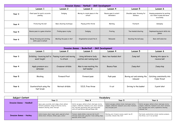| Invasion Games - Netball - Skill Development |                                                       |                          |                                         |                                    |                                         |                                                                           |
|----------------------------------------------|-------------------------------------------------------|--------------------------|-----------------------------------------|------------------------------------|-----------------------------------------|---------------------------------------------------------------------------|
|                                              | Lesson 1                                              | Lesson 2                 | Lesson 3                                | Lesson 4                           | Lesson 5                                | Lesson 6                                                                  |
| Year 3                                       | Chest pass for quick, accurate<br>passing             | Dodging                  | Moving to create space in the<br>attack | Bounce pass to outwit<br>defenders | Shoulder pass, throwing for<br>distance | Keeping possession by working<br>as a team to pass and move<br>accurately |
| Year 4                                       | Protecting the ball                                   | Basic shooting technique | Playing within thirds                   | Marking                            | Footwork                                | Gameplay                                                                  |
| Year 5                                       | Bounce pass in a game situation                       | Finding space in play    | Dodging                                 | Pivoting                           | Two-handed shooting                     | Implementing learnt skills into<br>games                                  |
| Year 6                                       | Recap throwing and catching<br>skills used in netball | Marking the pass or shot | Organisation around the D               | Rebounds                           | Knocking the ball away                  | Basic skill selection                                                     |

| <b>Basketball - Skill Development</b><br><b>Invasion Games -</b> |                                              |                                          |                                                   |                       |                                       |                                             |
|------------------------------------------------------------------|----------------------------------------------|------------------------------------------|---------------------------------------------------|-----------------------|---------------------------------------|---------------------------------------------|
|                                                                  | Lesson 1                                     | Lesson 2                                 | Lesson 3                                          | Lesson 4              | Lesson 5                              | Lesson 6                                    |
| Year 3                                                           | Dribbling - bouncing ball to<br>waist height | Passing in pairs and moving<br>to attack | Using defensive body<br>position and running back | Basic two-handed shot | Jump ball                             | Running into space to<br>receive ball       |
| Year 4                                                           | Apply pressure as a<br>defender              | Crossover dribble                        | Man to man marking the<br>ball handler            | <b>Bounce Pass</b>    | Jump shot                             | Jump stop                                   |
| Year 5                                                           | Blocking                                     | <b>Forward Pivot</b>                     | Forward pass                                      | Push pass             | Boxing out and winning the<br>rebound | Catching consistently into<br>triple threat |
| Year 6                                                           | Counterattack using the<br>fast break        | Retreat dribble                          | 5,5,5, Free throw                                 | V-cut                 | Driving to the basket                 | 3 point shot                                |

| Subject Content                  | Vocabulary                                                                                                                                           |                                                                                                                                                                                                                               |                                                                                                                                               |                                                                                                                                                                                                 |  |  |
|----------------------------------|------------------------------------------------------------------------------------------------------------------------------------------------------|-------------------------------------------------------------------------------------------------------------------------------------------------------------------------------------------------------------------------------|-----------------------------------------------------------------------------------------------------------------------------------------------|-------------------------------------------------------------------------------------------------------------------------------------------------------------------------------------------------|--|--|
|                                  | Year 3                                                                                                                                               | Year 4                                                                                                                                                                                                                        | Year 5                                                                                                                                        | Year 6                                                                                                                                                                                          |  |  |
| <b>Invasion Games - Handball</b> | Space, pass, accurately, mark, dodge, attack, defend,<br>footwork, possession, change of direction, tactics,<br>teamwork, shooting, zones, intercept | Control, use space, defend, attack, chest pass, tactics,<br>compete, collaborate, teamwork, score, shoot, footwork,<br>foul, free pass, goal shooter (GS), goal attack (GA)<br>centre (C), goal defence (GD) goal keeper (GK) | Control, use space, defend, attack, chest pass, tactics,<br>compete, collaborate, teamwork, score, shoot, footwork,<br>foul, free pass, pivot | Control, use space, defend, attack, chest pass, tactics,<br>compete, collaborate, teamwork, score, shoot, footwork,<br>foul, free pass, pivot, metre, organisation, knocking,<br>rebounds, free |  |  |
| <b>Invasion Games - Hockey</b>   | Control, bounce, shoot, target, assist, jump ball, attack,<br>defend, shoot, offensive, dribble, space, contact                                      | Turnover, double dribble, cross over ball, tip off,<br>intercept, bounce pass, jump shot, travel, walking, steps,<br>dead ball, forfeit, outwit                                                                               | Blocking, pivot, forward, reverse, exploit, lay off,<br>accurately, rebound, fake, feint                                                      | Fast break, counterattack, retreat, maintain, pressure,<br>free throw, L-cut, V-cut, pin down                                                                                                   |  |  |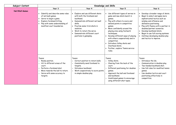| Subject Content       | <b>Knowledge and Skills</b>                                                                                                                                                                         |                                                                                                                                                                                                                                                             |                                                                                                                                                                                                                                                                                                                                                                                                                                |                                                                                                                                                                                                                                                                                                                                                                     |  |  |
|-----------------------|-----------------------------------------------------------------------------------------------------------------------------------------------------------------------------------------------------|-------------------------------------------------------------------------------------------------------------------------------------------------------------------------------------------------------------------------------------------------------------|--------------------------------------------------------------------------------------------------------------------------------------------------------------------------------------------------------------------------------------------------------------------------------------------------------------------------------------------------------------------------------------------------------------------------------|---------------------------------------------------------------------------------------------------------------------------------------------------------------------------------------------------------------------------------------------------------------------------------------------------------------------------------------------------------------------|--|--|
|                       | Year 3                                                                                                                                                                                              | Year 4                                                                                                                                                                                                                                                      | Year 5                                                                                                                                                                                                                                                                                                                                                                                                                         | Year 6                                                                                                                                                                                                                                                                                                                                                              |  |  |
| <b>Net/Wall Games</b> | Identify and describe some rules<br>of net/wall games.<br>Serve to begin a game.<br>Explore forehand hitting.<br>Play with some understanding of<br>modified court boundaries.                      | Explore and use different shots<br>with both the forehand and<br>backhand.<br>Demonstrate different net/wall<br>skills.<br>Practise some trick shots in<br>isolation.<br>Work to return the serve.<br>Demonstrate different court<br>positions in gameplay. | Use different types of serves in-<br>game and new shots learnt in<br>games.<br>• Play with others to score and<br>defend points in competitive<br>games.<br>Move confidently around the<br>playing area using footwork<br>techniques.<br>Develop different ways of playing<br>with others cooperatively and in<br>competition.<br>• Introduce Volley shots and<br>Overhead shots.<br>Further, explore Tennis service<br>rules. | • Develop a broader range of shots.<br>• Begin to select and apply more<br>sophisticated tactics such as<br>netplay and offensive and<br>defensive positioning.<br>Play with fluency with a partner in<br>doubles/partner scenarios.<br>Develop backhand shots.<br>Begin to use full scoring systems<br>Continue developing doubles play<br>and tactics to improve. |  |  |
|                       | Tennis<br>o Ready position.<br>o Hit to different areas of the<br>court.<br>Perform a forehand shot.<br>$\circ$ Move towards the ball to return.<br>$\circ$ Serve with some accuracy to<br>targets. | Tennis<br>o Correct position to return balls.<br>Consistently send forehand to<br>$\circ$<br>targets.<br>o Introduce backhand.<br>$\circ$ Work cooperatively to score points<br>in simple doubles play.                                                     | Tennis<br>o Volley shots.<br>$\circ$ Clearing from the back of the<br>court.<br>$\circ$ Different positioning for doubles<br>games.<br>$\circ$ Approach the ball and forehand<br>and backhand.<br>o Conditioned games to encourage<br>using different shot types.                                                                                                                                                              | Tennis<br>$\circ$ Introduce the lob.<br>$\circ$ Communication in doubles play.<br>Two-handed backhand shot.<br>$\circ$<br>$\circ$ Use full rules for modified tennis<br>games.<br>$\circ$ Use doubles tactics and court<br>positioning effectively in<br>competition.                                                                                               |  |  |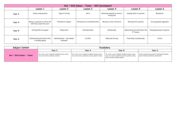| Net / Wall Games - Tennis - Skill Development |                                                                 |                                        |                                |                                              |                                                           |                             |  |
|-----------------------------------------------|-----------------------------------------------------------------|----------------------------------------|--------------------------------|----------------------------------------------|-----------------------------------------------------------|-----------------------------|--|
|                                               | Lesson 1                                                        | Lesson 2                               | Lesson 3                       | Lesson 4                                     | Lesson 5                                                  | Lesson 6                    |  |
| Year 3                                        | Tennis ready position                                           | Types of hitting                       | Serve                          | Returning towards to return a<br>moving ball | Sending balls to a partner                                | Boundaries                  |  |
| Year 4                                        | Being in a position to return the<br>ball from around the court | Forehand to targets                    | Introduction to backhand shots | Moving to return the serve                   | Working with a partner                                    | Scoring against opponents   |  |
| Year 5                                        | Putting skills into games                                       | Volley shots                           | Overhead shots                 | Doubles play                                 | Approaching the ball before the<br>2 <sup>nd</sup> bounce | Recognising ways to improve |  |
| Year 6                                        | Communicating with each other<br>in doubles games               | Backhand shot - two handed<br>backhand | Lob shot                       | Rules and Scoring                            | Positioning in doubles play                               | Tactics                     |  |

| <b>Subject Content</b>    | Vocabulary                                                                                        |                                                                                                                    |                                                                                                                                                           |                                                                                                        |  |
|---------------------------|---------------------------------------------------------------------------------------------------|--------------------------------------------------------------------------------------------------------------------|-----------------------------------------------------------------------------------------------------------------------------------------------------------|--------------------------------------------------------------------------------------------------------|--|
|                           | Year 3                                                                                            | Year 4                                                                                                             | Year 5                                                                                                                                                    | Year 6                                                                                                 |  |
| Net / Wall Games - Tennis | Hit, return, court, forehand, backhand, bounce, points,<br>score, net, tactics, underarm, overarm | Hit, return, court, forehand, backhand, bounce, points,<br>score, net, tactics, underarm, overarm, position, ready | Hit, return, court, forehand, backhand, bounce, points,<br>score, net, tactics, underarm, overarm, position, ready,<br>volley, overhead, singles, doubles | lob shot, positioning, footwork, listening skill, dispute,<br>peers, attacking, defensive, improvement |  |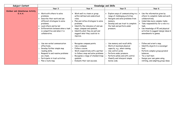| Subject Content                  | <b>Knowledge and Skills</b>                                                                                                                                                                                                                        |                                                                                                                                                                                                                                                                               |                                                                                                                                                                                                                                                       |                                                                                                                                                                                                                                                                                         |  |  |
|----------------------------------|----------------------------------------------------------------------------------------------------------------------------------------------------------------------------------------------------------------------------------------------------|-------------------------------------------------------------------------------------------------------------------------------------------------------------------------------------------------------------------------------------------------------------------------------|-------------------------------------------------------------------------------------------------------------------------------------------------------------------------------------------------------------------------------------------------------|-----------------------------------------------------------------------------------------------------------------------------------------------------------------------------------------------------------------------------------------------------------------------------------------|--|--|
|                                  | Year 3                                                                                                                                                                                                                                             | Year 4                                                                                                                                                                                                                                                                        | Year 5                                                                                                                                                                                                                                                | Year 6                                                                                                                                                                                                                                                                                  |  |  |
| Outdoor and Adventurous Activity |                                                                                                                                                                                                                                                    |                                                                                                                                                                                                                                                                               |                                                                                                                                                                                                                                                       |                                                                                                                                                                                                                                                                                         |  |  |
| O.A.A.                           | Work with others to solve<br>$\bullet$<br>problems.<br>Describe their work and use<br>different strategies to solve<br>problems.<br>Lead others and be led<br>Differentiate between when a task<br>is competitive and when it is<br>collaborative. | Work well in a team or group<br>within defined and understood<br>roles.<br>Plan and refine strategies to solve<br>problems.<br>Identify the relevance of and use<br>maps, compass and symbols.<br>Identify what they do well and<br>suggest what they could do to<br>improve. | Explore ways of communicating in a<br>range of challenging activities.<br>Navigate and solve problems from<br>memory.<br>Develop and use trust to complete<br>the task and perform under<br>pressure.                                                 | Use the information given by<br>others to complete tasks and work<br>collaboratively.<br>Undertake more complex tasks.<br>Take responsibility for a role in a<br>task.<br>Use knowledge of PE and physical<br>$\bullet$<br>activities to suggest design ideas &<br>amendments to games. |  |  |
|                                  | Use non-verbal communication<br>$\Omega$<br>effectively.<br>Develop further simple map<br>reading skills.<br>Respond to and resolve problems<br>as a team.<br>Participate in trust activities.<br>$\circ$<br>Plan a route map.<br>$\circ$          | Recognise compass points.<br>$\circ$<br>Use a compass.<br>$\circ$<br>Follow a course.<br>O<br>Work cooperatively with a partner<br>$\circ$<br>to follow a map and solve problems.<br>Recognise a range of standard map<br>symbols.<br>Evaluate their own success.<br>$\circ$  | Use memory and recall skills.<br>$\circ$<br>Work at maximum physical<br>capacity, e.g., when running.<br>Use control cards.<br>Perform under pressure.<br>Perform safely and with control.<br>Classify and interpret simple<br>$\circ$<br>morse code. | Follow and orient a map.<br>$\circ$<br>Identify objects in a scavenger<br>$\circ$<br>hunt.<br>Perform complex group pyramid<br>$\circ$<br>balances.<br>Tie a reef knot.<br>$\circ$<br>Design your own game using,<br>$\circ$<br>refining, and adapting group ideas.                     |  |  |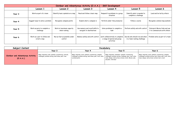| Outdoor and Adventurous Activity (O.A.A.) -<br><b>Skill Development</b> |                                              |                                          |                                                             |                                                                               |                                                               |                                                               |  |  |
|-------------------------------------------------------------------------|----------------------------------------------|------------------------------------------|-------------------------------------------------------------|-------------------------------------------------------------------------------|---------------------------------------------------------------|---------------------------------------------------------------|--|--|
|                                                                         | Lesson 1                                     | Lesson 2                                 | Lesson 3                                                    | Lesson 4                                                                      | Lesson 5                                                      | Lesson 6                                                      |  |  |
| Year 3                                                                  | Work as part of a team                       | Identify basic symbols on a map          | Read and follow a basic map                                 | Respond to problems in a group<br>situation                                   | Identify what is needed to<br>complete a challenge            | Lead and be led by others                                     |  |  |
| Year 4                                                                  | Suggest ways to solve a problem              | Recognise compass points                 | Explain what a compass is                                   | Perform under time pressures                                                  | Follow a course                                               | Recognise common map symbols                                  |  |  |
| Year 5                                                                  | Work as pairs to complete a<br>challenge     | Work at maximum capacity<br>when running | Use memory and recall skills to<br>navigate to destinations | Solve problems to complete a<br>task                                          | Perform safely and with control                               | Interpret Morse Code and use<br>it to communicate with others |  |  |
| Year 6                                                                  | Work as a pair to follow and<br>orient a map | Run as fast as possible under<br>control | Balance safely and with control                             | work collaboratively to complete<br>a range of paired and group<br>activities | Decide who should run and when<br>in a team running challenge | Problem solve as part of a team                               |  |  |

| Subject Content                              | Vocabulary                                                                                                       |                                                                                                                                                                                                          |                                                                                                                                     |                                                                                                                                                                              |  |  |  |  |
|----------------------------------------------|------------------------------------------------------------------------------------------------------------------|----------------------------------------------------------------------------------------------------------------------------------------------------------------------------------------------------------|-------------------------------------------------------------------------------------------------------------------------------------|------------------------------------------------------------------------------------------------------------------------------------------------------------------------------|--|--|--|--|
|                                              | Year 3                                                                                                           | Year 4                                                                                                                                                                                                   | Year 5                                                                                                                              | Year 6                                                                                                                                                                       |  |  |  |  |
| Outdoor and Adventurous Activity<br>(O.A.A.) | Maps, diagrams, scale, symbols, orienteering, controls,<br>challenges, problem-solving, lead follow, plan, trust | Maps, diagrams, scale, symbols, orienteering, compass,<br>challenges, problem-solving, lead follow, plan, trust, solve,   challenges, problem-solving, challenge, plan, trust, solve,<br>cardinal points | Maps, diagrams, remember, symbols, orienteering,<br>team, design, instructions, extend, orient, Morse code,<br>decipher, individual | Maps, diagrams, scale, symbols, orienteering, compass,<br>challenges, problem solving, lead, follow, plan, trust, solve,<br>team, design, instructions, extend, knot, orient |  |  |  |  |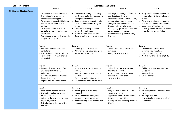| Subject Content                    |                                                                                                                                                                                                                                                                                                                                                           |                                                                                                                                                                                                                                                                                                                                 |                                                                                                                                                                                                                                                                                                                                  |                                                                                                                                                                                                                                                                          |
|------------------------------------|-----------------------------------------------------------------------------------------------------------------------------------------------------------------------------------------------------------------------------------------------------------------------------------------------------------------------------------------------------------|---------------------------------------------------------------------------------------------------------------------------------------------------------------------------------------------------------------------------------------------------------------------------------------------------------------------------------|----------------------------------------------------------------------------------------------------------------------------------------------------------------------------------------------------------------------------------------------------------------------------------------------------------------------------------|--------------------------------------------------------------------------------------------------------------------------------------------------------------------------------------------------------------------------------------------------------------------------|
|                                    | Year 3                                                                                                                                                                                                                                                                                                                                                    | Year 4                                                                                                                                                                                                                                                                                                                          | Year 5                                                                                                                                                                                                                                                                                                                           | Year 6                                                                                                                                                                                                                                                                   |
| <b>Striking and Fielding Games</b> | To be able to adhere to some of<br>$\bullet$<br>the basic rules of cricket of<br>striking and fielding games.<br>To develop a range of skills to use<br>in isolation and a competitive<br>context.<br>To use basic skills with more<br>consistency, including striking a<br>bowled ball.<br>Work cooperatively with others to<br>complete fielding tasks. | To develop the range of striking<br>and fielding skills they can apply in<br>a competitive context<br>Choose and use a range of simple<br>tactics in isolation and in a game<br>context.<br>Consolidate existing skills and<br>apply with consistency.<br>Strike to ball with intent, use<br>decision making attempt direction. | Link together a range of skills and<br>use them in combination.<br>Collaborate with a team to choose,<br>use and adapt rules in games.<br>Recognise how some aspects of<br>fitness apply to striking and<br>fielding, e.g., power, flexibility, and<br>cardiovascular endurance<br>Develop retrieving and returning<br>the ball. | Apply consistently standard rules<br>in a variety of different styles of<br>games.<br>Attempt a small range of shots in<br>isolation and competitive scenarios.<br>• Use a range of tactics for<br>attacking and defending in the role<br>of bowler, batter and fielder. |
|                                    | General<br>$\circ$ Bowl with some accuracy and<br>consistency<br>Use the long barrier to collect a<br>$\circ$<br>rolling ball/collect and return a<br>moving ball.                                                                                                                                                                                        | General<br>Directing hit to score runs.<br>$\circ$<br>Attempt to stop a bouncing ground<br>$\circ$<br>ball with some success                                                                                                                                                                                                    | General<br>Throw for accuracy over short<br>$\circ$<br>distances<br>Recognise where to play                                                                                                                                                                                                                                      | General<br>o Demonstrate urgency when<br>acquiring runs/rounders.<br>Track and catch high balls.<br>$\circ$<br>Work in pairs to field a long ball.<br>$\circ$                                                                                                            |
|                                    | Cricket<br>o Forward drive into space. Foot<br>placement to hit the ball<br>effectively<br>$\circ$ Use overarm throw to send ball<br>longer distances<br>o Explore role of wicket keeper.                                                                                                                                                                 | Cricket<br>$\circ$ Anticipate when to run to score<br>singles.<br>Bowl overarm from a stationary<br>$\circ$<br>position.<br>$\circ$ Attempt a pull shot in a game.<br>$\circ$ Intercept the ball with one hand.                                                                                                                 | Cricket<br>$\circ$ Calling for runs with a partner.<br>$\circ$ Start to keep wicket.<br>$\circ$ Attempt bowling with a run-up.<br>o Forward defensive shot.<br>Setting a field.<br>$\circ$                                                                                                                                       | Cricket<br>$\circ$ Fielding positions, slip, short leg<br>and cover.<br>$\circ$ Bowling short.<br>$\circ$ On and off drive.                                                                                                                                              |
|                                    | Rounders<br>$\circ$ Consistently hot one-handed.<br>$\circ$ Use underarm bowling action to<br>bowl a 'good' ball.<br>$\circ$ Selecting the best base to throw<br>to get players out.<br>Introduction to the role of the<br>$\circ$<br>backstop                                                                                                            | Rounders<br>$\circ$ Run at speed to avoid being<br>stumped<br>$\circ$ Play backstop in a small game<br>o Use rounders scoring system.<br>$\circ$ Explain bowling rules. Full and half<br>rounders.                                                                                                                              | Rounders<br>Body position to catch a ball to<br>$\circ$<br>stump players out<br>Apply backwards hit rule, attempt<br>to catch a backward hit.<br>Distinguish between deep and close<br>fielding.                                                                                                                                 | Rounders<br>o Play using standard rounders pitch<br>layout.<br>$\circ$ Bowling a fast ball.<br>$\circ$ Play tactically to avoid overtaking<br>teammates.                                                                                                                 |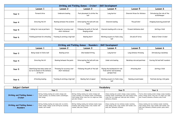| Striking and Fielding Games - Cricket - Skill Development |                                  |                                               |                                                   |                                          |                            |                                             |  |  |
|-----------------------------------------------------------|----------------------------------|-----------------------------------------------|---------------------------------------------------|------------------------------------------|----------------------------|---------------------------------------------|--|--|
|                                                           | Lesson 1                         | Lesson 2                                      | Lesson 3                                          | Lesson 4                                 | Lesson 5                   | Lesson 6                                    |  |  |
| Year 3                                                    | Forward drive                    | Underarm bowling                              | Foot placement to strike the<br>ball              | Long barrier                             | Overarm throw for distance | Introducing the role of the<br>wicketkeeper |  |  |
| Year 4                                                    | Directing the hit                | Running between the wickets                   | Intercepting the ball with one<br>hand            | Overarm bowling                          | The pull shot              | Stopping bouncing ground ball               |  |  |
| Year 5                                                    | Calling for runs as partners     | Throwing for accuracy over<br>short distances | Following the path of the ball,<br>keeping wicket | Overarm bowling with a run-up            | Forward defensive shot     | Setting a field                             |  |  |
| Year 6                                                    | Fielding positions for attacking | Tracking & catching a high ball               | Bowling short                                     | Working as pairs to field a long<br>ball | On and off drive           | Rules of Inter Cricket                      |  |  |

| Striking and Fielding Games - Rounders - Skill Development |                                                                                 |                                               |                                        |                                                                            |                             |                                |  |  |
|------------------------------------------------------------|---------------------------------------------------------------------------------|-----------------------------------------------|----------------------------------------|----------------------------------------------------------------------------|-----------------------------|--------------------------------|--|--|
|                                                            | Lesson 1                                                                        | Lesson 2                                      | Lesson 3                               | Lesson 4                                                                   | Lesson 5                    | Lesson 6                       |  |  |
| Year 3                                                     | Being ready to field a ball                                                     | Bowling action                                | One-handed hitting                     | Long barrier                                                               | Long distance throwing      | Introducing a backstop         |  |  |
| Year 4                                                     | Directing the hit                                                               | Running between the posts                     | Intercepting the ball with one<br>hand | Under arm bowling                                                          | Backstop role and positions | Scoring full and half rounders |  |  |
| Year 5                                                     | Identifying how many zones can<br>be run to based on the distance<br>of the hit | Throwing for accuracy over<br>short distances | Following the path of the ball         | Playing the backwards hit rule<br>from batter and backstop<br>perspectives | Attacking shot              | Setting a field                |  |  |
| Year 6                                                     | Attacking bowling                                                               | Tracking & catching a high ball               | Bowling fast at speed                  | Working as pairs to field a long<br>ball                                   | Running around bases        | Positions during a full game   |  |  |

| Subject Content                                         | Vocabulary                                                                                                                                       |                                                                                                                                                                                                         |                                                                                                                                                                                                               |                                                                                                                                                                                               |  |  |  |  |
|---------------------------------------------------------|--------------------------------------------------------------------------------------------------------------------------------------------------|---------------------------------------------------------------------------------------------------------------------------------------------------------------------------------------------------------|---------------------------------------------------------------------------------------------------------------------------------------------------------------------------------------------------------------|-----------------------------------------------------------------------------------------------------------------------------------------------------------------------------------------------|--|--|--|--|
|                                                         | Year 3                                                                                                                                           | Year 4                                                                                                                                                                                                  | Year 5                                                                                                                                                                                                        | Year 6                                                                                                                                                                                        |  |  |  |  |
| <b>Striking and Fielding Games -</b><br><b>Cricket</b>  | Batting, fielding, bowling, bat, wicket, stumps, ball,<br>crease, boundary, run, batsman, bowler, wicketkeeper,<br>filed, innings                | Batting, fielding, bowling, bat, wicket, stumps, ball,<br>crease, boundary, run, batsman, bowler, wicketkeeper,<br>field, innings, strike, cross, four, six, single over, balls,<br>pull, shot, forward | Stance, bowling, bat, wicket, stumps, crease, boundary,<br>batsman, bowler, wicketkeeper, ball, field, innings, strike,<br>cross, four, six, single over, balls, pull, shot, forward,<br>defensive, offensive | Tactics, shots, bowling, wicket, stumps, crease, boundary,<br>stance, innings, strike, cross, four, six, single, over, balls,<br>shot, forward, defensive, offensive, wide, no ball           |  |  |  |  |
| <b>Striking and Fielding Games -</b><br><b>Rounders</b> | Batting. fielding, bowling, bat, bases, ball, run, batter,<br>bowler, fielder, innings, no ball, batting box, backstop,<br>rounder, half-rounder | Batting. fielding, bowling, bat, batsman, bowler, bases,<br>backstop, field, innings, strike, cross, rounder, half-<br>rounder, balls, shot, forward                                                    | Stance, bowling, bat, box, batsman, bowler, backstop,<br>field, innings, strike, cross, rounder, half-rounder, over,<br>balls, shot, defensive, offensive                                                     | Stance, bowling, bat, box, batsman, bowler, backstop,<br>field, innings, strike, cross, rounder, half-rounder, over,<br>balls, shot, defensive, offensive, predict, place, select,<br>tactics |  |  |  |  |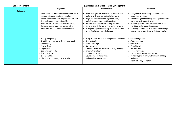| Subject Content | Knowledge and Skills - Skill Development                                                                                                                                                                                                                                                                 |                                                                                                                                                                                                                                                                                                                                                                          |                                                                                                                                                                                                                                                                                                                                      |  |  |  |  |
|-----------------|----------------------------------------------------------------------------------------------------------------------------------------------------------------------------------------------------------------------------------------------------------------------------------------------------------|--------------------------------------------------------------------------------------------------------------------------------------------------------------------------------------------------------------------------------------------------------------------------------------------------------------------------------------------------------------------------|--------------------------------------------------------------------------------------------------------------------------------------------------------------------------------------------------------------------------------------------------------------------------------------------------------------------------------------|--|--|--|--|
|                 | <b>Beginners</b>                                                                                                                                                                                                                                                                                         | <b>Intermediate</b>                                                                                                                                                                                                                                                                                                                                                      | Advanced                                                                                                                                                                                                                                                                                                                             |  |  |  |  |
| <b>Swimming</b> | Swim short distances unaided between 5 & 20<br>metres using one consistent stroke.<br>• Propel themselves over longer distances with<br>the assistance of swimming aids.<br>Move with more confidence in the water,<br>including submerging themselves fully.<br>Enter and exit the water independently. | Swim over greater distances, between 10 & 20<br>meters, with confidence in shallow water.<br>Begin to use basic swimming techniques,<br>including correct arm and leg action.<br>Explore and use basic breathing patterns.<br>Enter and exit the water in a variety of ways.<br>Take part in problem-solving activities such as<br>group floats and team challenges.     | Bring control and fluency to at least two<br>recognised strokes.<br>Implement good breathing techniques to allow<br>for smooth stroke patterns.<br>Attempt personal survival techniques as an<br>individual and group with success.<br>Link lengths together with turns and attempt<br>tumble turn in isolation and during a stroke. |  |  |  |  |
|                 | $\circ$ Pulling and pushing.<br>Stabilising - feet upright off the ground.<br>Submerging.<br>$\circ$<br>o Prone float.<br>Supine float.<br>$\circ$<br>o Leg action on back.<br>o Push, glide, turn.<br>Doggy paddle.<br>$\circ$<br>The transition from glide to stroke.<br>$\circ$                       | Jump in from the side of the pool and submerge.<br>$\circ$<br>Sink and roll.<br>$\circ$<br>Front crawl legs.<br>$\circ$<br>Surface dive.<br>$\circ$<br>Linking 3 different types of floating techniques.<br>$\circ$<br>Breaststroke legs.<br>$\circ$<br>Somersault in water.<br>$\circ$<br>Sculling face in the water.<br>$\circ$<br>Kicking while submerged.<br>$\circ$ | Relay change over.<br>Mushroom float.<br>$\circ$<br>Partner support.<br>$\circ$<br>Crouching dive.<br>$\circ$<br>Surface dive.<br>Treading water.<br>$\circ$<br>Tumble turn/tumble underwater.<br>$\circ$<br>Combining fluent breaststroke arm and leg<br>$\circ$<br>technique.<br>Head out entry to water<br>$\circ$                |  |  |  |  |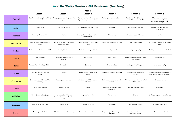# West Rise Weekly Overview - Skill Development (Year Group)

|                          | Year 3                                           |                                                                     |                                                                        |                                              |                                                                |                                                                                            |  |  |
|--------------------------|--------------------------------------------------|---------------------------------------------------------------------|------------------------------------------------------------------------|----------------------------------------------|----------------------------------------------------------------|--------------------------------------------------------------------------------------------|--|--|
|                          | Lesson 1                                         | Lesson 2                                                            | Lesson 3                                                               | Lesson 4                                     | Lesson 5                                                       | Lesson 6                                                                                   |  |  |
| Football                 | Sending the ball using the inside of<br>the foot | Trapping a ball travelling along the<br>ground                      | Passing over short distances and<br>players moving to receive the ball | Finding space to receive the ball            | Use the outside of the foot to<br>control the ball and dribble | Working as a team show<br>communication and cushioning the<br>ball when receiving the pass |  |  |
| Cricket                  | Forward drive                                    | Underarm bowling                                                    | Foot placement to strike the ball                                      | Long barrier                                 | Overarm throw for distance                                     | Introducing the role of the<br>wicketkeeper                                                |  |  |
| Handball                 | Catching - Ready position                        | Passing                                                             | Moving with the ball and passing it<br>to a teammate                   | Intercepting                                 | Attacking in small sided games                                 | Passing                                                                                    |  |  |
| <b>Gymnastics</b>        | Extend into full range in balance /<br>shape     | Moving in and out of contrasting<br>shapes with fluency             | Body control and strength when<br>rolling                              | Jumping for height and distance              | Basic partner unison                                           | Starting and finishing patterns as a<br>group                                              |  |  |
| Hockey                   | Close contact with flat of the stick             | Passing into space                                                  | Defensive tackling positions                                           | Stopping the ball                            | Improving agility                                              | Avoiding foot contact with the ball                                                        |  |  |
| Dance                    | Jazz square or                                   | Perform as two contrasting<br>characters                            | Improvisation                                                          | Uses a prop                                  | Including facial expressions in our<br>performance             | 'Being a Director'                                                                         |  |  |
| Dance                    | Do se do, heel dig gallop, split tuck<br>jump    | Floor patterns                                                      | Dynamics                                                               | Creating action                              | Creating action with a partner                                 | Performance quality                                                                        |  |  |
| <b>Netball</b>           | Chest pass for quick, accurate<br>passing        | Dodging                                                             | Moving to create space in the<br>attack                                | Bounce pass to outwit defenders              | Shoulder pass, throwing for<br>distance                        | Keeping possession by working as a<br>team to pass and move accurately                     |  |  |
| <b><i>Gymnastics</i></b> | Japana and control to transition<br>smoothly     | Bouncing and broad jump                                             | Introduce dish with leg raise and<br>half lever                        | Body control to link movements<br>fluently   | Introduce box splits and variations<br>right and left          | Extension in actions                                                                       |  |  |
| <b>Tennis</b>            | Tennis ready position                            | Types of hitting                                                    | Serve                                                                  | Returning towards to return a<br>moving ball | Sending balls to a partner                                     | Boundaries                                                                                 |  |  |
| <b>Athletics</b>         | Take off combination jumps                       | Recognising the difference<br>between fast, slow and medium<br>pace | Approaching hurdles                                                    | Javelin throw                                | Skipping                                                       | Working as a group to record points                                                        |  |  |
| <b>Rounders</b>          | Being ready to field a ball                      | Bowling action                                                      | One-handed hitting                                                     | Long barrier                                 | Long distance throwing                                         | Introducing a backstop                                                                     |  |  |
| O.A.A.                   | Work as part of a team                           | Identify basic symbols on a map                                     | Read and follow a basic map                                            | Respond to problems in a group<br>situation  | Identify what is needed to<br>complete a challenge             | Lead and be led by others                                                                  |  |  |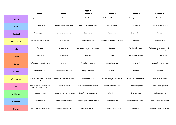| Year 4            |                                                                 |                                   |                                             |                                         |                             |                                                            |  |
|-------------------|-----------------------------------------------------------------|-----------------------------------|---------------------------------------------|-----------------------------------------|-----------------------------|------------------------------------------------------------|--|
|                   | Lesson 1                                                        | Lesson 2                          | Lesson 3                                    | Lesson 4                                | Lesson 5                    | Lesson 6                                                   |  |
| Football          | Coming towards the ball to receive                              | Marking                           | Tackling                                    | Dribbling in different directions       | Passing over distance       | Passing on the move                                        |  |
| Cricket           | Directing the hit                                               | Running between the wickets       | Intercepting the ball with one hand         | Overarm bowling                         | The pull shot               | Stopping bouncing ground ball                              |  |
| Handball          | Protecting the ball                                             | Basic shooting technique          | 3 man weave                                 | Turn on move                            | 7-metre throw               | Gameplay                                                   |  |
| <b>Gymnastics</b> | Changes in speeds of actions                                    | Use STEP model                    | Cartwheel progressions                      | Developing four compositional ideas     | Cooperation                 | Judging system                                             |  |
| Hockey            | Push pass                                                       | Straight dribble                  | Stopping the ball with the reverse<br>stick | Slap pass                               | Turning with the ball       | Pacing runs in the game to be able<br>to work continuously |  |
| Dance             | Freeze frame                                                    | Slide and roll                    | Formations                                  | Cannon                                  | Sequencing movements        | Start positions / poses                                    |  |
| Dance             | Performing and developing action                                | Formations                        | Travelling movements                        | Introducing devices                     | Contact work                | Preparing for a performance                                |  |
| <b>Netball</b>    | Protecting the ball                                             | Basic shooting technique          | Playing within thirds                       | Marking                                 | Footwork                    | Gameplay                                                   |  |
| <b>Gymnastics</b> | Weighted bunny hop and travelling<br>steps                      | Roll over the shoulder to knees   | Engaging the core                           | Smooth transition from front to<br>side | Should stand and cartwheel  | Showing flow in action                                     |  |
| Tennis            | Being in a position to return the<br>ball from around the court | Forehand to targets               | Introduction to backhand shots              | Moving to return the serve              | Working with a partner      | Scoring against opponents                                  |  |
| <b>Athletics</b>  | Aiming at targets                                               | Accelerating over short distances | Take off 1 foot when running                | Sling throw                             | Baton exchange              | Working to improve                                         |  |
| Rounders          | Directing the hit                                               | Running between the posts         | Intercepting the ball with one hand         | Under arm bowling                       | Backstop role and positions | Scoring full and half rounders                             |  |
| O.A.A.            | Suggest ways to solve a problem                                 | Recognise compass points          | Explain what a compass is                   | Perform under time pressures            | Follow a course             | Recognise common map symbols                               |  |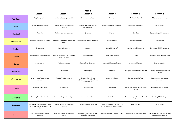| Year 5                   |                                                                                 |                                                          |                                                                              |                                                                         |                                               |                                                               |  |
|--------------------------|---------------------------------------------------------------------------------|----------------------------------------------------------|------------------------------------------------------------------------------|-------------------------------------------------------------------------|-----------------------------------------------|---------------------------------------------------------------|--|
|                          | Lesson 1                                                                        | Lesson 2                                                 | Lesson 3                                                                     | Lesson 4                                                                | Lesson 5                                      | Lesson 6                                                      |  |
| Tag Rugby                | Tagging opposition                                                              | Running and passing accurately                           | Principles of defence                                                        | Pop pass                                                                | The 'magic diamond'                           | Take metres not the time                                      |  |
| Cricket                  | Calling for runs as partners                                                    | Throwing for accuracy over short<br>distances            | Following the path of the ball,<br>keeping wicket                            | Overarm bowling with a run-up                                           | Forward defensive shot                        | Setting a field                                               |  |
| Handball                 | Jump shot                                                                       | Closing angles as a goalkeeper                           | Dribbling                                                                    | Pivoting                                                                | Set plays                                     | Implementing skills into games                                |  |
| <b><i>Gymnastics</i></b> | 'Round off' stationary or running                                               | Exploring symmetry in balance and<br>travel              | Over shoulder roll and asymmetry                                             | Counter balances                                                        | Smooth transitions                            | Performance                                                   |  |
| Hockey                   | <b>Block tackle</b>                                                             | Passing into the D                                       | Marking                                                                      | Sweep (Open stick)                                                      | Dragging the ball left to right               | One-handed dribble (open side)                                |  |
| Dance                    | Step touch and Bangra shoulders                                                 | Basic hip movement, 1, 2, 3 step and<br>around the world | Group patterns                                                               | 1, 2 and 4 wall patterns                                                | 3 steps                                       | Slide, knee bends and pivot steps                             |  |
| Dance                    | Creating action                                                                 | Manipulating actions                                     | Changing level of movement                                                   | Creating flight through jumps                                           | Creating bold actions                         | Improving quality                                             |  |
| <b>Basketball</b>        | Blocking                                                                        | Forward Pivot                                            | Forward pass                                                                 | Push pass                                                               | Boxing out and winning the rebound            | Catching consistently into triple<br>threat                   |  |
| <b>Gymnastics</b>        | Creative use of space along a<br>pathway                                        | Round off and asymmetry                                  | Over shoulder roll into<br>differentiated handstand into a<br>180/half twist | Linking cartwheels                                                      | Getting into bridge/crab                      | Identify when extension is<br>appropriate                     |  |
| <b>Tennis</b>            | Putting skills into games                                                       | Volley shots                                             | Overhead shots                                                               | Doubles play                                                            | Approaching the ball before the 2nd<br>bounce | Recognising ways to improve                                   |  |
| <b>Athletics</b>         | Preparing to run individual leg                                                 | Developing the principles of pace                        | Jumping for distance                                                         | Push throw                                                              | Baton exchange within a restricted<br>area    | Teaching STEP principle                                       |  |
| <b>Rounders</b>          | Identifying how many zones can be<br>run to based on the distance of the<br>hit | Throwing for accuracy over short<br>distances            | Following the path of the ball                                               | Playing the backwards hit rule from<br>batter and backstop perspectives | Attacking shot                                | Setting a field                                               |  |
| O.A.A.                   | Work as pairs to complete a<br>challenge                                        | Work at maximum capacity when<br>running                 | Use memory and recall skills to<br>navigate to destinations                  | Solve problems to complete a task                                       | Perform safely and with control               | Interpret Morse Code and use it to<br>communicate with others |  |